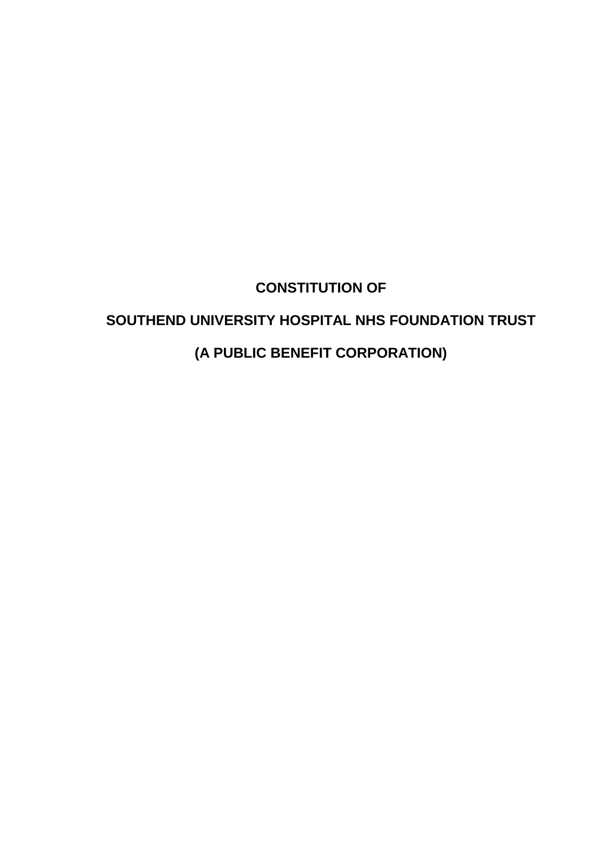# **CONSTITUTION OF**

# **SOUTHEND UNIVERSITY HOSPITAL NHS FOUNDATION TRUST**

# **(A PUBLIC BENEFIT CORPORATION)**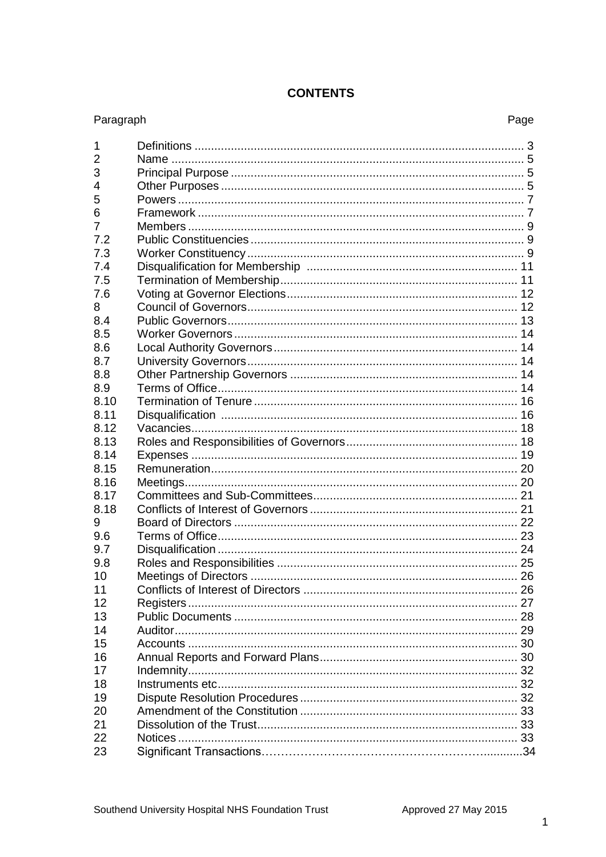| Paragraph      | Page |
|----------------|------|
| 1              |      |
| $\overline{2}$ |      |
| 3              |      |
| $\overline{4}$ |      |
| 5              |      |
| 6              |      |
| $\overline{7}$ |      |
| 7.2            |      |
| 7.3            |      |
| 7.4            |      |
| 7.5            |      |
| 7.6            |      |
| 8              |      |
| 8.4            |      |
| 8.5            |      |
| 8.6            |      |
| 8.7            |      |
| 8.8            |      |
| 8.9            |      |
| 8.10           |      |
| 8.11           |      |
| 8.12           |      |
| 8.13           |      |
| 8.14           |      |
| 8.15           |      |
| 8.16           |      |
| 8.17           |      |
| 8.18           |      |
| 9              |      |
| 9.6            |      |
| 9.7            |      |
| 9.8            |      |
| 10             |      |
| 11             |      |
| 12             |      |
| 13             |      |
| 14             |      |
| 15             |      |
| 16             |      |
| 17             |      |
| 18             |      |
| 19             |      |
| 20             |      |
| 21             |      |
| 22             |      |
| 23             |      |
|                |      |

# **CONTENTS**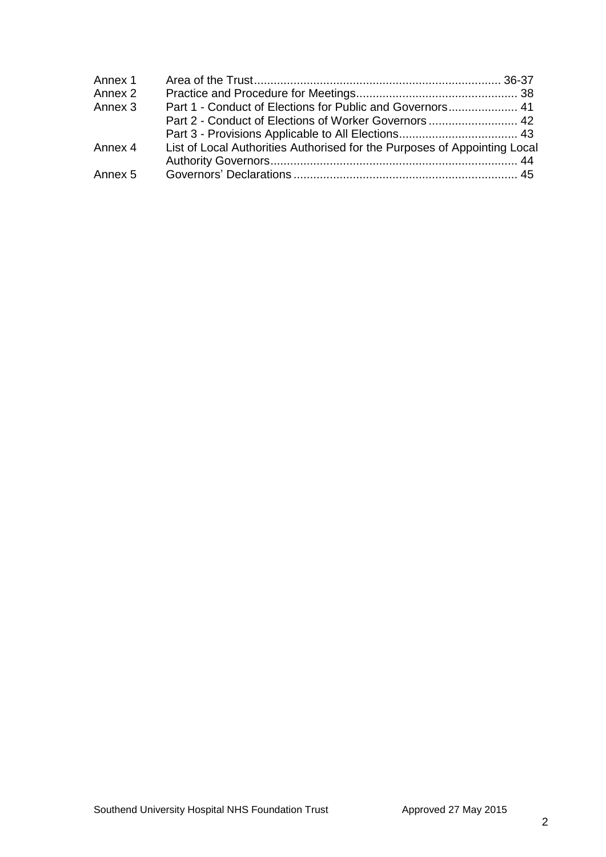| Part 1 - Conduct of Elections for Public and Governors 41                 |  |
|---------------------------------------------------------------------------|--|
|                                                                           |  |
|                                                                           |  |
| List of Local Authorities Authorised for the Purposes of Appointing Local |  |
|                                                                           |  |
|                                                                           |  |
|                                                                           |  |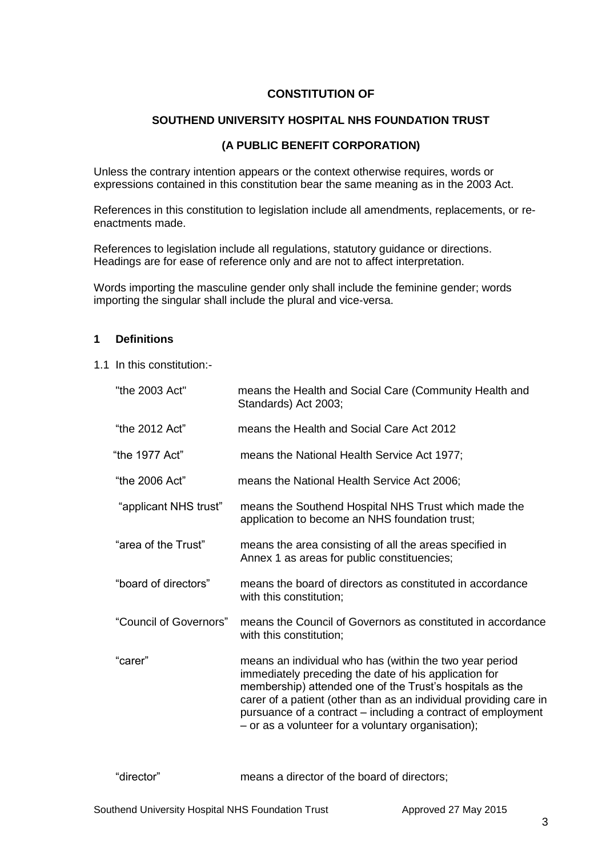# **CONSTITUTION OF**

# **SOUTHEND UNIVERSITY HOSPITAL NHS FOUNDATION TRUST**

## **(A PUBLIC BENEFIT CORPORATION)**

Unless the contrary intention appears or the context otherwise requires, words or expressions contained in this constitution bear the same meaning as in the 2003 Act.

References in this constitution to legislation include all amendments, replacements, or reenactments made.

References to legislation include all regulations, statutory guidance or directions. Headings are for ease of reference only and are not to affect interpretation.

Words importing the masculine gender only shall include the feminine gender; words importing the singular shall include the plural and vice-versa.

#### **1 Definitions**

1.1 In this constitution:-

| "the 2003 Act"         | means the Health and Social Care (Community Health and<br>Standards) Act 2003;                                                                                                                                                                                                                                                                                          |
|------------------------|-------------------------------------------------------------------------------------------------------------------------------------------------------------------------------------------------------------------------------------------------------------------------------------------------------------------------------------------------------------------------|
| "the 2012 Act"         | means the Health and Social Care Act 2012                                                                                                                                                                                                                                                                                                                               |
| "the 1977 Act"         | means the National Health Service Act 1977;                                                                                                                                                                                                                                                                                                                             |
| "the 2006 Act"         | means the National Health Service Act 2006;                                                                                                                                                                                                                                                                                                                             |
| "applicant NHS trust"  | means the Southend Hospital NHS Trust which made the<br>application to become an NHS foundation trust;                                                                                                                                                                                                                                                                  |
| "area of the Trust"    | means the area consisting of all the areas specified in<br>Annex 1 as areas for public constituencies;                                                                                                                                                                                                                                                                  |
| "board of directors"   | means the board of directors as constituted in accordance<br>with this constitution;                                                                                                                                                                                                                                                                                    |
| "Council of Governors" | means the Council of Governors as constituted in accordance<br>with this constitution;                                                                                                                                                                                                                                                                                  |
| "carer"                | means an individual who has (within the two year period<br>immediately preceding the date of his application for<br>membership) attended one of the Trust's hospitals as the<br>carer of a patient (other than as an individual providing care in<br>pursuance of a contract – including a contract of employment<br>- or as a volunteer for a voluntary organisation); |

"director" means a director of the board of directors;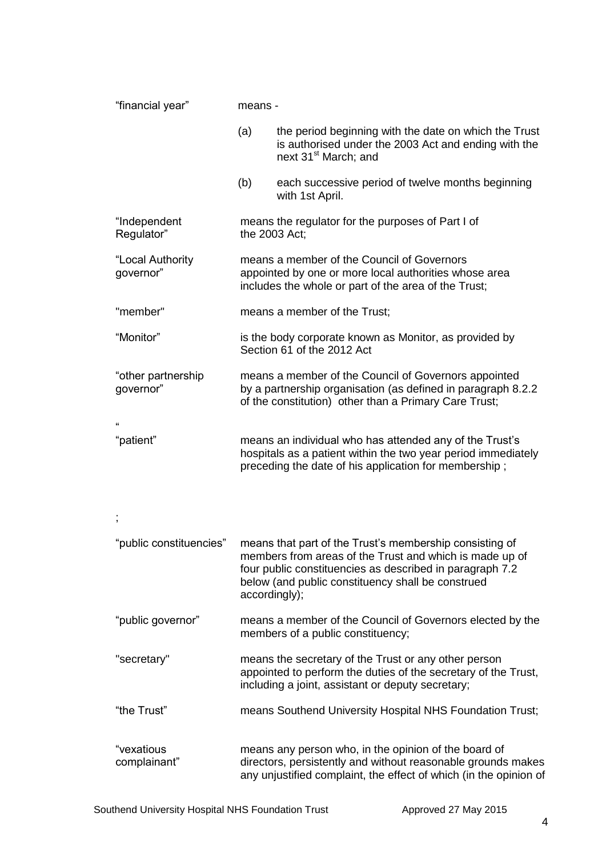| "financial year"                | means -                                                                                                                                                                           |                                                                                                                                                                                                                                     |  |  |
|---------------------------------|-----------------------------------------------------------------------------------------------------------------------------------------------------------------------------------|-------------------------------------------------------------------------------------------------------------------------------------------------------------------------------------------------------------------------------------|--|--|
|                                 | (a)                                                                                                                                                                               | the period beginning with the date on which the Trust<br>is authorised under the 2003 Act and ending with the<br>next 31 <sup>st</sup> March; and                                                                                   |  |  |
|                                 | (b)                                                                                                                                                                               | each successive period of twelve months beginning<br>with 1st April.                                                                                                                                                                |  |  |
| "Independent<br>Regulator"      |                                                                                                                                                                                   | means the regulator for the purposes of Part I of<br>the 2003 Act;                                                                                                                                                                  |  |  |
| "Local Authority<br>governor"   | means a member of the Council of Governors<br>appointed by one or more local authorities whose area<br>includes the whole or part of the area of the Trust;                       |                                                                                                                                                                                                                                     |  |  |
| "member"                        |                                                                                                                                                                                   | means a member of the Trust;                                                                                                                                                                                                        |  |  |
| "Monitor"                       |                                                                                                                                                                                   | is the body corporate known as Monitor, as provided by<br>Section 61 of the 2012 Act                                                                                                                                                |  |  |
| "other partnership<br>governor" |                                                                                                                                                                                   | means a member of the Council of Governors appointed<br>by a partnership organisation (as defined in paragraph 8.2.2<br>of the constitution) other than a Primary Care Trust;                                                       |  |  |
|                                 |                                                                                                                                                                                   |                                                                                                                                                                                                                                     |  |  |
| "patient"                       | means an individual who has attended any of the Trust's<br>hospitals as a patient within the two year period immediately<br>preceding the date of his application for membership; |                                                                                                                                                                                                                                     |  |  |
| $\,$                            |                                                                                                                                                                                   |                                                                                                                                                                                                                                     |  |  |
| "public constituencies"         | accordingly);                                                                                                                                                                     | means that part of the Trust's membership consisting of<br>members from areas of the Trust and which is made up of<br>four public constituencies as described in paragraph 7.2<br>below (and public constituency shall be construed |  |  |
| "public governor"               |                                                                                                                                                                                   | means a member of the Council of Governors elected by the<br>members of a public constituency;                                                                                                                                      |  |  |
| "secretary"                     |                                                                                                                                                                                   | means the secretary of the Trust or any other person<br>appointed to perform the duties of the secretary of the Trust,<br>including a joint, assistant or deputy secretary;                                                         |  |  |
| "the Trust"                     |                                                                                                                                                                                   | means Southend University Hospital NHS Foundation Trust;                                                                                                                                                                            |  |  |
| "vexatious<br>complainant"      |                                                                                                                                                                                   | means any person who, in the opinion of the board of<br>directors, persistently and without reasonable grounds makes<br>any unjustified complaint, the effect of which (in the opinion of                                           |  |  |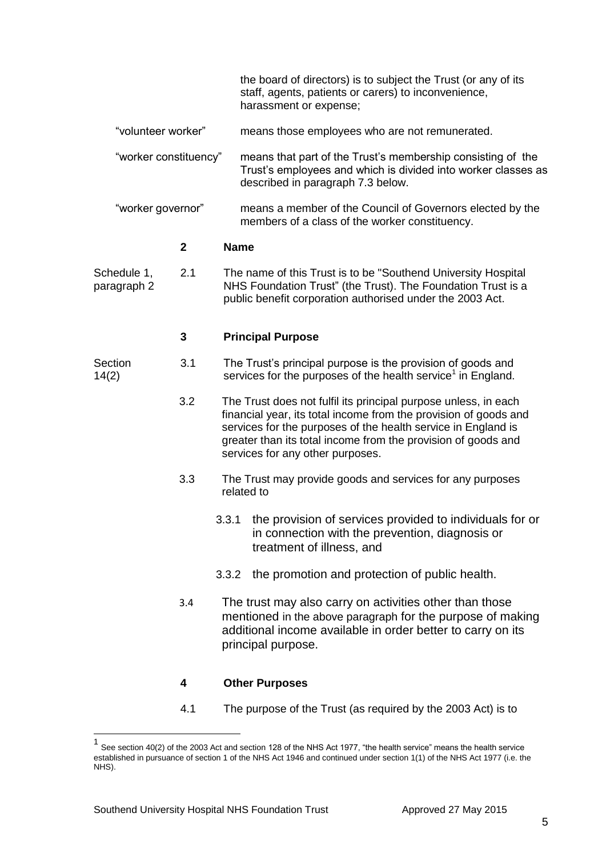|                                             |              |             | the board of directors) is to subject the Trust (or any of its<br>staff, agents, patients or carers) to inconvenience,                                                                                                                                                                                    |  |  |
|---------------------------------------------|--------------|-------------|-----------------------------------------------------------------------------------------------------------------------------------------------------------------------------------------------------------------------------------------------------------------------------------------------------------|--|--|
| "volunteer worker"<br>"worker constituency" |              |             | harassment or expense;                                                                                                                                                                                                                                                                                    |  |  |
|                                             |              |             | means those employees who are not remunerated.                                                                                                                                                                                                                                                            |  |  |
|                                             |              |             | means that part of the Trust's membership consisting of the<br>Trust's employees and which is divided into worker classes as<br>described in paragraph 7.3 below.                                                                                                                                         |  |  |
| "worker governor"                           |              |             | means a member of the Council of Governors elected by the<br>members of a class of the worker constituency.                                                                                                                                                                                               |  |  |
|                                             | $\mathbf{2}$ | <b>Name</b> |                                                                                                                                                                                                                                                                                                           |  |  |
| 2.1<br>Schedule 1,<br>paragraph 2           |              |             | The name of this Trust is to be "Southend University Hospital<br>NHS Foundation Trust" (the Trust). The Foundation Trust is a<br>public benefit corporation authorised under the 2003 Act.                                                                                                                |  |  |
|                                             | 3            |             | <b>Principal Purpose</b>                                                                                                                                                                                                                                                                                  |  |  |
| Section<br>14(2)                            | 3.1          |             | The Trust's principal purpose is the provision of goods and<br>services for the purposes of the health service <sup>1</sup> in England.                                                                                                                                                                   |  |  |
|                                             | 3.2          |             | The Trust does not fulfil its principal purpose unless, in each<br>financial year, its total income from the provision of goods and<br>services for the purposes of the health service in England is<br>greater than its total income from the provision of goods and<br>services for any other purposes. |  |  |
|                                             | 3.3          |             | The Trust may provide goods and services for any purposes<br>related to                                                                                                                                                                                                                                   |  |  |
|                                             |              | 3.3.1       | the provision of services provided to individuals for or<br>in connection with the prevention, diagnosis or<br>treatment of illness, and                                                                                                                                                                  |  |  |
|                                             |              | 3.3.2       | the promotion and protection of public health.                                                                                                                                                                                                                                                            |  |  |
|                                             | 3.4          |             | The trust may also carry on activities other than those<br>mentioned in the above paragraph for the purpose of making<br>additional income available in order better to carry on its<br>principal purpose.                                                                                                |  |  |
|                                             | 4            |             | <b>Other Purposes</b>                                                                                                                                                                                                                                                                                     |  |  |
|                                             | 4.1          |             | The purpose of the Trust (as required by the 2003 Act) is to                                                                                                                                                                                                                                              |  |  |

 1 See section 40(2) of the 2003 Act and section 128 of the NHS Act 1977, "the health service" means the health service established in pursuance of section 1 of the NHS Act 1946 and continued under section 1(1) of the NHS Act 1977 (i.e. the NHS).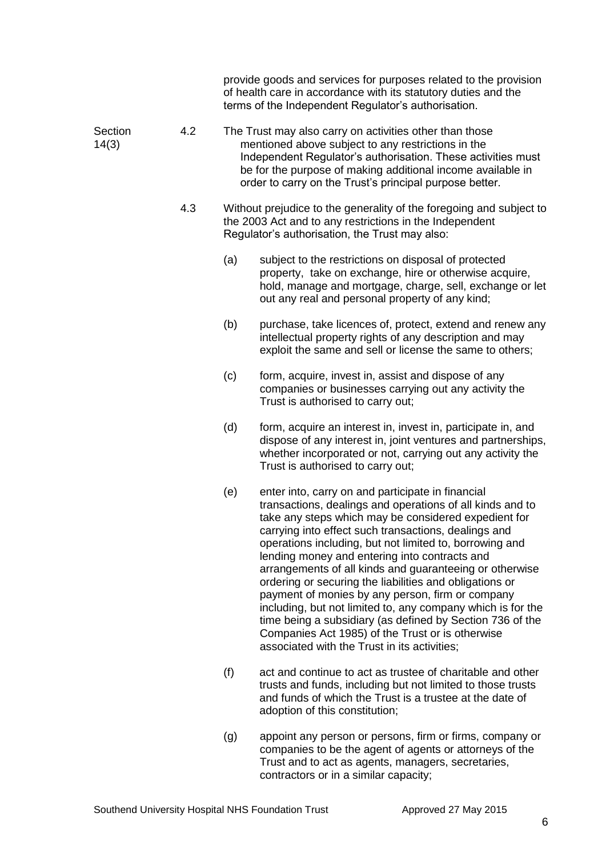|                  |     |     | provide goods and services for purposes related to the provision<br>of health care in accordance with its statutory duties and the<br>terms of the Independent Regulator's authorisation.                                                                                                                                                                                                                                                                                                                                                                                                                                                                                                                                                            |
|------------------|-----|-----|------------------------------------------------------------------------------------------------------------------------------------------------------------------------------------------------------------------------------------------------------------------------------------------------------------------------------------------------------------------------------------------------------------------------------------------------------------------------------------------------------------------------------------------------------------------------------------------------------------------------------------------------------------------------------------------------------------------------------------------------------|
| Section<br>14(3) | 4.2 |     | The Trust may also carry on activities other than those<br>mentioned above subject to any restrictions in the<br>Independent Regulator's authorisation. These activities must<br>be for the purpose of making additional income available in<br>order to carry on the Trust's principal purpose better.                                                                                                                                                                                                                                                                                                                                                                                                                                              |
|                  | 4.3 |     | Without prejudice to the generality of the foregoing and subject to<br>the 2003 Act and to any restrictions in the Independent<br>Regulator's authorisation, the Trust may also:                                                                                                                                                                                                                                                                                                                                                                                                                                                                                                                                                                     |
|                  |     | (a) | subject to the restrictions on disposal of protected<br>property, take on exchange, hire or otherwise acquire,<br>hold, manage and mortgage, charge, sell, exchange or let<br>out any real and personal property of any kind;                                                                                                                                                                                                                                                                                                                                                                                                                                                                                                                        |
|                  |     | (b) | purchase, take licences of, protect, extend and renew any<br>intellectual property rights of any description and may<br>exploit the same and sell or license the same to others;                                                                                                                                                                                                                                                                                                                                                                                                                                                                                                                                                                     |
|                  |     | (c) | form, acquire, invest in, assist and dispose of any<br>companies or businesses carrying out any activity the<br>Trust is authorised to carry out;                                                                                                                                                                                                                                                                                                                                                                                                                                                                                                                                                                                                    |
|                  |     | (d) | form, acquire an interest in, invest in, participate in, and<br>dispose of any interest in, joint ventures and partnerships,<br>whether incorporated or not, carrying out any activity the<br>Trust is authorised to carry out;                                                                                                                                                                                                                                                                                                                                                                                                                                                                                                                      |
|                  |     | (e) | enter into, carry on and participate in financial<br>transactions, dealings and operations of all kinds and to<br>take any steps which may be considered expedient for<br>carrying into effect such transactions, dealings and<br>operations including, but not limited to, borrowing and<br>lending money and entering into contracts and<br>arrangements of all kinds and guaranteeing or otherwise<br>ordering or securing the liabilities and obligations or<br>payment of monies by any person, firm or company<br>including, but not limited to, any company which is for the<br>time being a subsidiary (as defined by Section 736 of the<br>Companies Act 1985) of the Trust or is otherwise<br>associated with the Trust in its activities; |
|                  |     | (f) | act and continue to act as trustee of charitable and other<br>trusts and funds, including but not limited to those trusts<br>and funds of which the Trust is a trustee at the date of<br>adoption of this constitution;                                                                                                                                                                                                                                                                                                                                                                                                                                                                                                                              |
|                  |     | (g) | appoint any person or persons, firm or firms, company or<br>companies to be the agent of agents or attorneys of the                                                                                                                                                                                                                                                                                                                                                                                                                                                                                                                                                                                                                                  |

Trust and to act as agents, managers, secretaries,

contractors or in a similar capacity;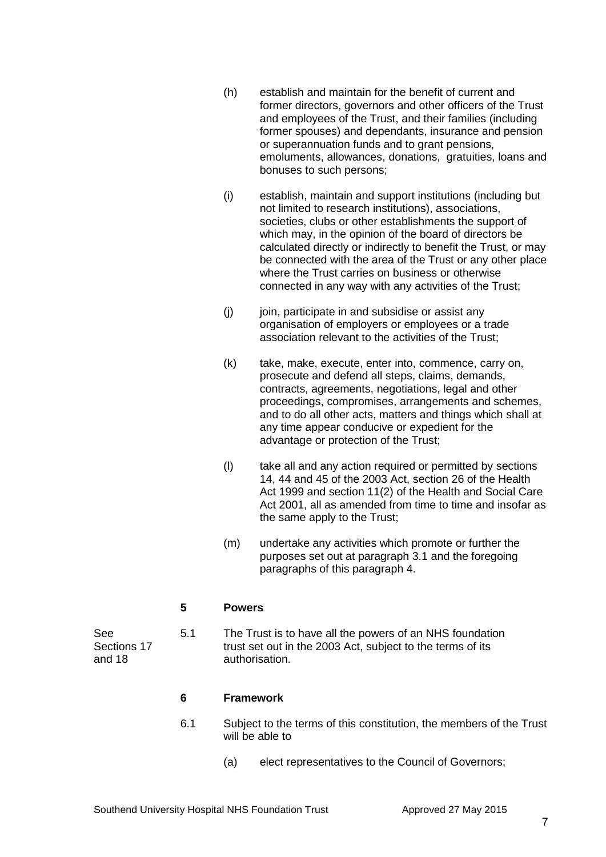- (h) establish and maintain for the benefit of current and former directors, governors and other officers of the Trust and employees of the Trust, and their families (including former spouses) and dependants, insurance and pension or superannuation funds and to grant pensions, emoluments, allowances, donations, gratuities, loans and bonuses to such persons;
- (i) establish, maintain and support institutions (including but not limited to research institutions), associations, societies, clubs or other establishments the support of which may, in the opinion of the board of directors be calculated directly or indirectly to benefit the Trust, or may be connected with the area of the Trust or any other place where the Trust carries on business or otherwise connected in any way with any activities of the Trust;
- $(i)$  join, participate in and subsidise or assist any organisation of employers or employees or a trade association relevant to the activities of the Trust;
- (k) take, make, execute, enter into, commence, carry on, prosecute and defend all steps, claims, demands, contracts, agreements, negotiations, legal and other proceedings, compromises, arrangements and schemes, and to do all other acts, matters and things which shall at any time appear conducive or expedient for the advantage or protection of the Trust;
- (l) take all and any action required or permitted by sections 14, 44 and 45 of the 2003 Act, section 26 of the Health Act 1999 and section 11(2) of the Health and Social Care Act 2001, all as amended from time to time and insofar as the same apply to the Trust;
- (m) undertake any activities which promote or further the purposes set out at paragraph 3.1 and the foregoing paragraphs of this paragraph 4.

# **5 Powers**

See 5.1 The Trust is to have all the powers of an NHS foundation Sections 17 **Exercise 17** trust set out in the 2003 Act, subject to the terms of its and 18 authorisation.

# **6 Framework**

- 6.1 Subject to the terms of this constitution, the members of the Trust will be able to
	- (a) elect representatives to the Council of Governors;

#### Southend University Hospital NHS Foundation Trust **Approved 27 May 2015**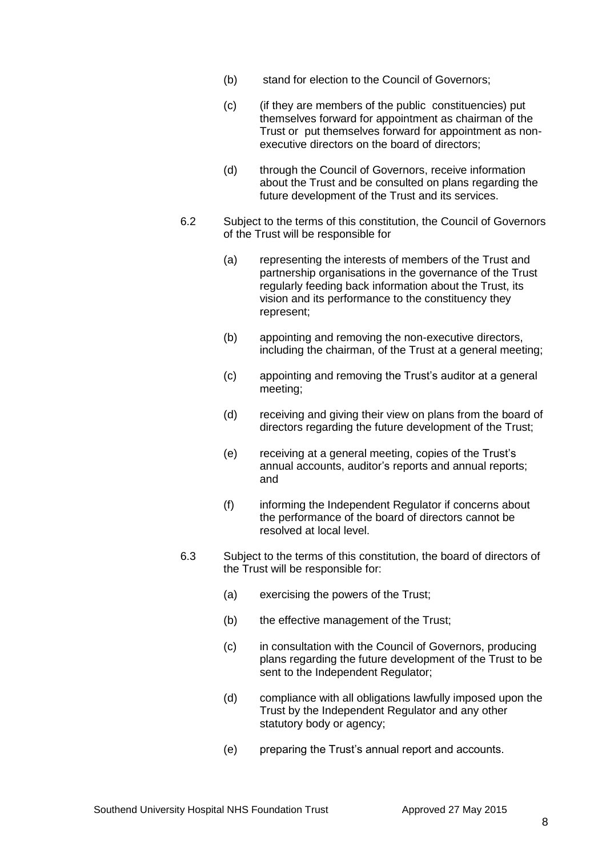- (b) stand for election to the Council of Governors;
- (c) (if they are members of the public constituencies) put themselves forward for appointment as chairman of the Trust or put themselves forward for appointment as nonexecutive directors on the board of directors;
- (d) through the Council of Governors, receive information about the Trust and be consulted on plans regarding the future development of the Trust and its services.
- 6.2 Subject to the terms of this constitution, the Council of Governors of the Trust will be responsible for
	- (a) representing the interests of members of the Trust and partnership organisations in the governance of the Trust regularly feeding back information about the Trust, its vision and its performance to the constituency they represent;
	- (b) appointing and removing the non-executive directors, including the chairman, of the Trust at a general meeting;
	- (c) appointing and removing the Trust's auditor at a general meeting;
	- (d) receiving and giving their view on plans from the board of directors regarding the future development of the Trust;
	- (e) receiving at a general meeting, copies of the Trust's annual accounts, auditor's reports and annual reports; and
	- (f) informing the Independent Regulator if concerns about the performance of the board of directors cannot be resolved at local level.
- 6.3 Subject to the terms of this constitution, the board of directors of the Trust will be responsible for:
	- (a) exercising the powers of the Trust;
	- (b) the effective management of the Trust;
	- (c) in consultation with the Council of Governors, producing plans regarding the future development of the Trust to be sent to the Independent Regulator;
	- (d) compliance with all obligations lawfully imposed upon the Trust by the Independent Regulator and any other statutory body or agency;
	- (e) preparing the Trust's annual report and accounts.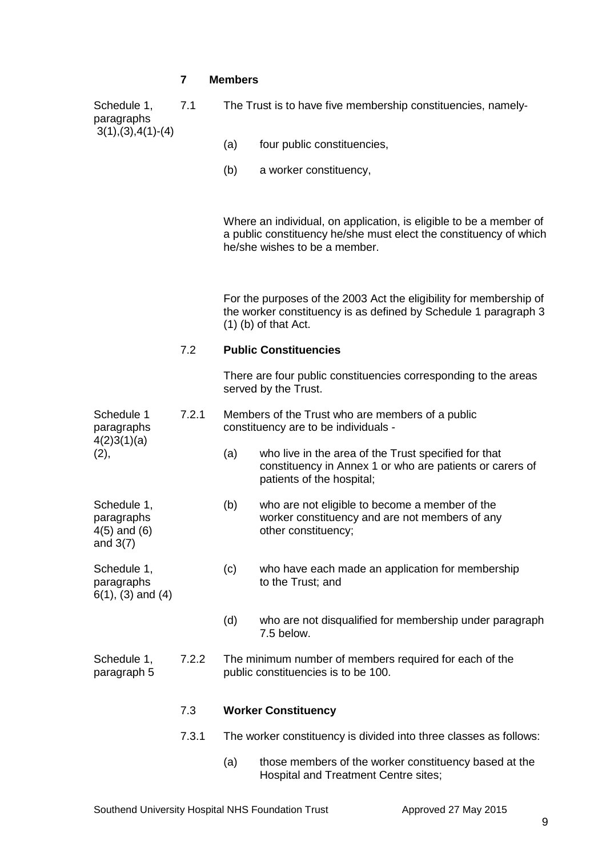# **7 Members**

|  | Schedule 1,<br>paragraphs<br>$3(1), (3), 4(1)$ - $(4)$      | 7.1   | The Trust is to have five membership constituencies, namely-                             |                                                                                                                                                                          |  |
|--|-------------------------------------------------------------|-------|------------------------------------------------------------------------------------------|--------------------------------------------------------------------------------------------------------------------------------------------------------------------------|--|
|  |                                                             |       | (a)                                                                                      | four public constituencies,                                                                                                                                              |  |
|  |                                                             |       | (b)                                                                                      | a worker constituency,                                                                                                                                                   |  |
|  |                                                             |       |                                                                                          | Where an individual, on application, is eligible to be a member of<br>a public constituency he/she must elect the constituency of which<br>he/she wishes to be a member. |  |
|  |                                                             |       |                                                                                          | For the purposes of the 2003 Act the eligibility for membership of<br>the worker constituency is as defined by Schedule 1 paragraph 3<br>$(1)$ (b) of that Act.          |  |
|  |                                                             | 7.2   | <b>Public Constituencies</b>                                                             |                                                                                                                                                                          |  |
|  |                                                             |       |                                                                                          | There are four public constituencies corresponding to the areas<br>served by the Trust.                                                                                  |  |
|  | Schedule 1<br>paragraphs                                    | 7.2.1 | Members of the Trust who are members of a public<br>constituency are to be individuals - |                                                                                                                                                                          |  |
|  | 4(2)3(1)(a)<br>(2),                                         |       | (a)                                                                                      | who live in the area of the Trust specified for that<br>constituency in Annex 1 or who are patients or carers of<br>patients of the hospital;                            |  |
|  | Schedule 1,<br>paragraphs<br>$4(5)$ and $(6)$<br>and $3(7)$ |       | (b)                                                                                      | who are not eligible to become a member of the<br>worker constituency and are not members of any<br>other constituency;                                                  |  |
|  | Schedule 1,<br>paragraphs<br>$6(1)$ , $(3)$ and $(4)$       |       | (c)                                                                                      | who have each made an application for membership<br>to the Trust; and                                                                                                    |  |
|  |                                                             |       | (d)                                                                                      | who are not disqualified for membership under paragraph<br>7.5 below.                                                                                                    |  |
|  | Schedule 1,<br>paragraph 5                                  | 7.2.2 |                                                                                          | The minimum number of members required for each of the<br>public constituencies is to be 100.                                                                            |  |
|  |                                                             | 7.3   |                                                                                          | <b>Worker Constituency</b>                                                                                                                                               |  |
|  |                                                             | 7.3.1 |                                                                                          | The worker constituency is divided into three classes as follows:                                                                                                        |  |
|  |                                                             |       |                                                                                          |                                                                                                                                                                          |  |

(a) those members of the worker constituency based at the Hospital and Treatment Centre sites;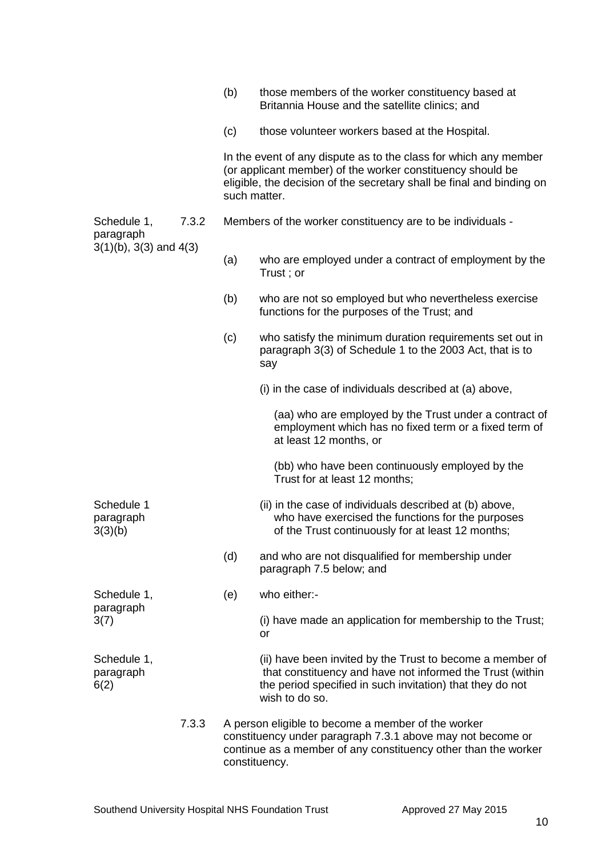|                                    |       | (b)          | those members of the worker constituency based at<br>Britannia House and the satellite clinics; and                                                                                                     |
|------------------------------------|-------|--------------|---------------------------------------------------------------------------------------------------------------------------------------------------------------------------------------------------------|
|                                    |       | (c)          | those volunteer workers based at the Hospital.                                                                                                                                                          |
|                                    |       | such matter. | In the event of any dispute as to the class for which any member<br>(or applicant member) of the worker constituency should be<br>eligible, the decision of the secretary shall be final and binding on |
| Schedule 1,<br>paragraph           | 7.3.2 |              | Members of the worker constituency are to be individuals -                                                                                                                                              |
| $3(1)(b)$ , $3(3)$ and $4(3)$      |       | (a)          | who are employed under a contract of employment by the<br>Trust; or                                                                                                                                     |
|                                    |       | (b)          | who are not so employed but who nevertheless exercise<br>functions for the purposes of the Trust; and                                                                                                   |
|                                    |       | (c)          | who satisfy the minimum duration requirements set out in<br>paragraph 3(3) of Schedule 1 to the 2003 Act, that is to<br>say                                                                             |
|                                    |       |              | (i) in the case of individuals described at (a) above,                                                                                                                                                  |
|                                    |       |              | (aa) who are employed by the Trust under a contract of<br>employment which has no fixed term or a fixed term of<br>at least 12 months, or                                                               |
|                                    |       |              | (bb) who have been continuously employed by the<br>Trust for at least 12 months;                                                                                                                        |
| Schedule 1<br>paragraph<br>3(3)(b) |       |              | (ii) in the case of individuals described at (b) above,<br>who have exercised the functions for the purposes<br>of the Trust continuously for at least 12 months;                                       |
|                                    |       | (d)          | and who are not disqualified for membership under<br>paragraph 7.5 below; and                                                                                                                           |
| Schedule 1,                        |       | (e)          | who either:-                                                                                                                                                                                            |
| paragraph<br>3(7)                  |       |              | (i) have made an application for membership to the Trust;<br>or                                                                                                                                         |
| Schedule 1,<br>paragraph<br>6(2)   |       |              | (ii) have been invited by the Trust to become a member of<br>that constituency and have not informed the Trust (within<br>the period specified in such invitation) that they do not<br>wish to do so.   |
|                                    | 7.3.3 |              | A person eligible to become a member of the worker<br>constituency under paragraph 7.3.1 above may not become or<br>continue as a member of any constituency other than the worker<br>constituency.     |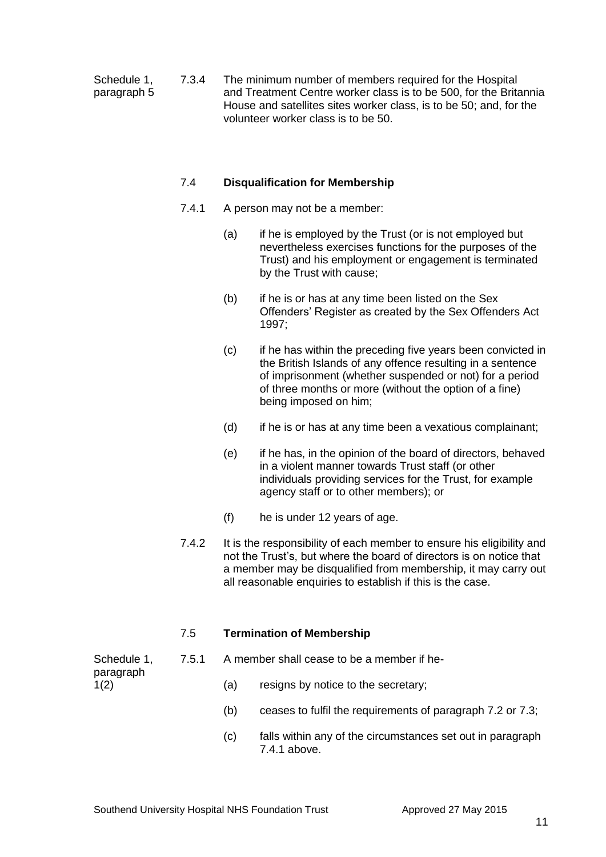Schedule 1, 7.3.4 The minimum number of members required for the Hospital paragraph 5 and Treatment Centre worker class is to be 500, for the Britannia House and satellites sites worker class, is to be 50; and, for the volunteer worker class is to be 50.

## 7.4 **Disqualification for Membership**

- 7.4.1 A person may not be a member:
	- (a) if he is employed by the Trust (or is not employed but nevertheless exercises functions for the purposes of the Trust) and his employment or engagement is terminated by the Trust with cause;
	- (b) if he is or has at any time been listed on the Sex Offenders' Register as created by the Sex Offenders Act 1997;
	- (c) if he has within the preceding five years been convicted in the British Islands of any offence resulting in a sentence of imprisonment (whether suspended or not) for a period of three months or more (without the option of a fine) being imposed on him;
	- (d) if he is or has at any time been a vexatious complainant;
	- (e) if he has, in the opinion of the board of directors, behaved in a violent manner towards Trust staff (or other individuals providing services for the Trust, for example agency staff or to other members); or
	- (f) he is under 12 years of age.
- 7.4.2 It is the responsibility of each member to ensure his eligibility and not the Trust's, but where the board of directors is on notice that a member may be disqualified from membership, it may carry out all reasonable enquiries to establish if this is the case.

# 7.5 **Termination of Membership**

Schedule 1, 7.5.1 A member shall cease to be a member if heparagraph

- 1(2) (a) resigns by notice to the secretary;
	- (b) ceases to fulfil the requirements of paragraph 7.2 or 7.3;
	- (c) falls within any of the circumstances set out in paragraph 7.4.1 above.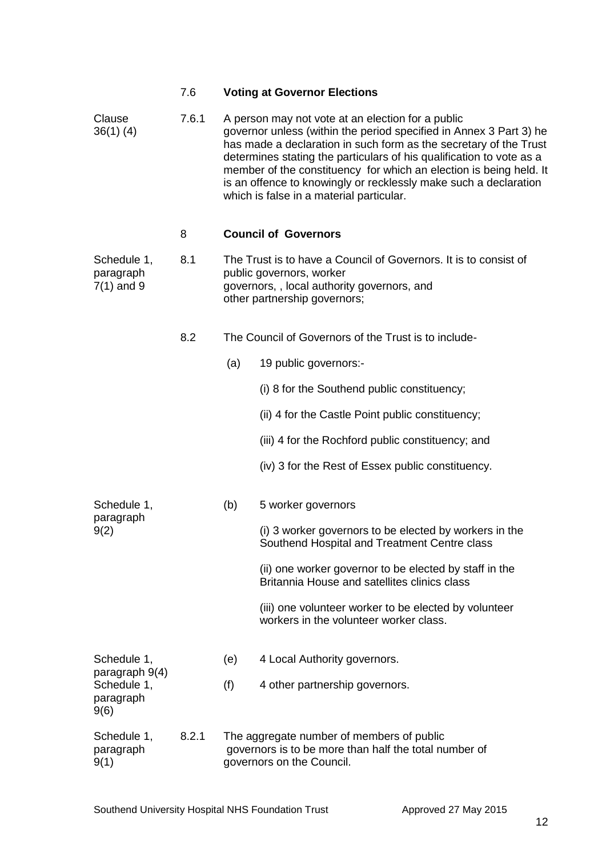|                                                    | 7.6   |                                                                                                                                 | <b>Voting at Governor Elections</b>                                                                                                                                                                                                                                                                                                                                                                                                                        |
|----------------------------------------------------|-------|---------------------------------------------------------------------------------------------------------------------------------|------------------------------------------------------------------------------------------------------------------------------------------------------------------------------------------------------------------------------------------------------------------------------------------------------------------------------------------------------------------------------------------------------------------------------------------------------------|
| Clause<br>$36(1)$ (4)                              | 7.6.1 |                                                                                                                                 | A person may not vote at an election for a public<br>governor unless (within the period specified in Annex 3 Part 3) he<br>has made a declaration in such form as the secretary of the Trust<br>determines stating the particulars of his qualification to vote as a<br>member of the constituency for which an election is being held. It<br>is an offence to knowingly or recklessly make such a declaration<br>which is false in a material particular. |
|                                                    | 8     |                                                                                                                                 | <b>Council of Governors</b>                                                                                                                                                                                                                                                                                                                                                                                                                                |
| Schedule 1,<br>paragraph<br>$7(1)$ and 9           | 8.1   |                                                                                                                                 | The Trust is to have a Council of Governors. It is to consist of<br>public governors, worker<br>governors,, local authority governors, and<br>other partnership governors;                                                                                                                                                                                                                                                                                 |
|                                                    | 8.2   |                                                                                                                                 | The Council of Governors of the Trust is to include-                                                                                                                                                                                                                                                                                                                                                                                                       |
|                                                    |       | (a)                                                                                                                             | 19 public governors:-                                                                                                                                                                                                                                                                                                                                                                                                                                      |
|                                                    |       |                                                                                                                                 | (i) 8 for the Southend public constituency;                                                                                                                                                                                                                                                                                                                                                                                                                |
|                                                    |       |                                                                                                                                 | (ii) 4 for the Castle Point public constituency;                                                                                                                                                                                                                                                                                                                                                                                                           |
|                                                    |       |                                                                                                                                 | (iii) 4 for the Rochford public constituency; and                                                                                                                                                                                                                                                                                                                                                                                                          |
|                                                    |       |                                                                                                                                 | (iv) 3 for the Rest of Essex public constituency.                                                                                                                                                                                                                                                                                                                                                                                                          |
| Schedule 1,                                        |       | (b)                                                                                                                             | 5 worker governors                                                                                                                                                                                                                                                                                                                                                                                                                                         |
| paragraph<br>9(2)                                  |       |                                                                                                                                 | (i) 3 worker governors to be elected by workers in the<br>Southend Hospital and Treatment Centre class                                                                                                                                                                                                                                                                                                                                                     |
|                                                    |       |                                                                                                                                 | (ii) one worker governor to be elected by staff in the<br>Britannia House and satellites clinics class                                                                                                                                                                                                                                                                                                                                                     |
|                                                    |       |                                                                                                                                 | (iii) one volunteer worker to be elected by volunteer<br>workers in the volunteer worker class.                                                                                                                                                                                                                                                                                                                                                            |
| Schedule 1,                                        |       | (e)                                                                                                                             | 4 Local Authority governors.                                                                                                                                                                                                                                                                                                                                                                                                                               |
| paragraph 9(4)<br>Schedule 1,<br>paragraph<br>9(6) |       | (f)                                                                                                                             | 4 other partnership governors.                                                                                                                                                                                                                                                                                                                                                                                                                             |
| Schedule 1,<br>paragraph<br>9(1)                   | 8.2.1 | The aggregate number of members of public<br>governors is to be more than half the total number of<br>governors on the Council. |                                                                                                                                                                                                                                                                                                                                                                                                                                                            |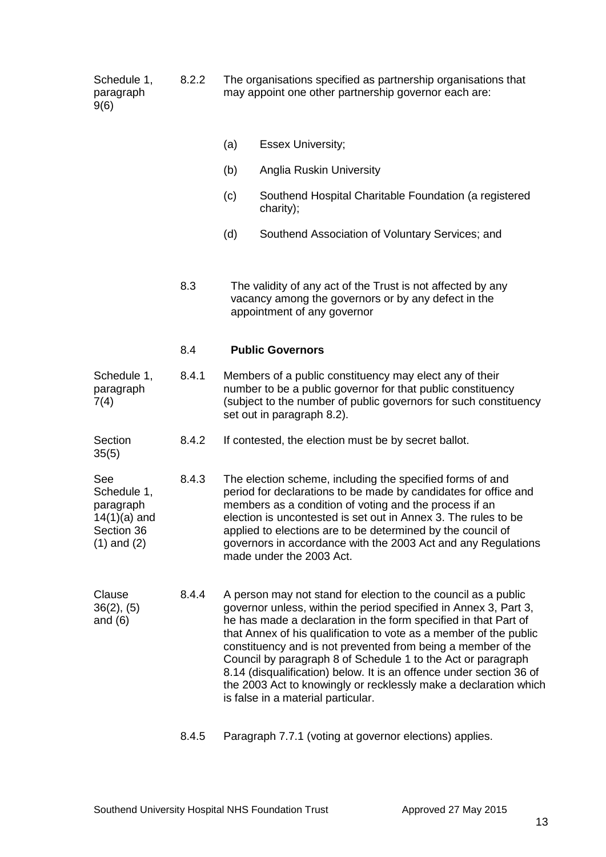Schedule 1, 8.2.2 The organisations specified as partnership organisations that paragraph may appoint one other partnership governor each are: 9(6)

(a) Essex University; (b) Anglia Ruskin University (c) Southend Hospital Charitable Foundation (a registered charity); (d) Southend Association of Voluntary Services; and 8.3 The validity of any act of the Trust is not affected by any vacancy among the governors or by any defect in the appointment of any governor 8.4 **Public Governors** Schedule 1, 8.4.1 Members of a public constituency may elect any of their paragraph number to be a public governor for that public constituency 7(4) (subject to the number of public governors for such constituency set out in paragraph 8.2). Section 8.4.2 If contested, the election must be by secret ballot. 35(5) See 8.4.3 The election scheme, including the specified forms of and<br>Schedule 1. error period for declarations to be made by candidates for office period for declarations to be made by candidates for office and paragraph members as a condition of voting and the process if an 14(1)(a) and election is uncontested is set out in Annex 3. The rules to be<br>Section 36 section 36 applied to elections are to be determined by the council of (1) and (2) governors in accordance with the 2003 Act and any Regulations made under the 2003 Act. Clause 8.4.4 A person may not stand for election to the council as a public 36(2), (5) governor unless, within the period specified in Annex 3, Part 3, and (6) he has made a declaration in the form specified in that Part of that Annex of his qualification to vote as a member of the public constituency and is not prevented from being a member of the Council by paragraph 8 of Schedule 1 to the Act or paragraph 8.14 (disqualification) below. It is an offence under section 36 of the 2003 Act to knowingly or recklessly make a declaration which is false in a material particular. 8.4.5 Paragraph 7.7.1 (voting at governor elections) applies.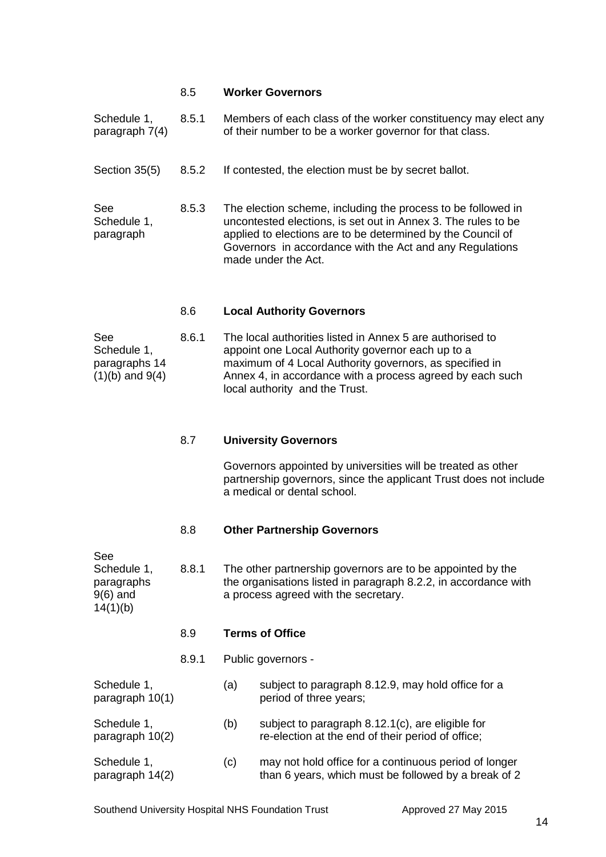#### 8.5 **Worker Governors**

|                                 | o e   | $l$ and Authenity Causes                                                                                                                                                                                                                                                        |
|---------------------------------|-------|---------------------------------------------------------------------------------------------------------------------------------------------------------------------------------------------------------------------------------------------------------------------------------|
| See<br>Schedule 1,<br>paragraph | 8.5.3 | The election scheme, including the process to be followed in<br>uncontested elections, is set out in Annex 3. The rules to be<br>applied to elections are to be determined by the Council of<br>Governors in accordance with the Act and any Regulations<br>made under the Act. |
| Section 35(5)                   | 8.5.2 | If contested, the election must be by secret ballot.                                                                                                                                                                                                                            |
| Schedule 1,<br>paragraph $7(4)$ | 8.5.1 | Members of each class of the worker constituency may elect any<br>of their number to be a worker governor for that class.                                                                                                                                                       |

## 8.6 **Local Authority Governors**

| <b>See</b>          | 8.6.1 | The local authorities listed in Annex 5 are authorised to |
|---------------------|-------|-----------------------------------------------------------|
| Schedule 1,         |       | appoint one Local Authority governor each up to a         |
| paragraphs 14       |       | maximum of 4 Local Authority governors, as specified in   |
| $(1)(b)$ and $9(4)$ |       | Annex 4, in accordance with a process agreed by each such |
|                     |       | local authority and the Trust.                            |

# 8.7 **University Governors**

Governors appointed by universities will be treated as other partnership governors, since the applicant Trust does not include a medical or dental school.

# 8.8 **Other Partnership Governors**

| See<br>Schedule 1,<br>paragraphs<br>$9(6)$ and<br>14(1)(b) | 8.8.1 | The other partnership governors are to be appointed by the<br>the organisations listed in paragraph 8.2.2, in accordance with<br>a process agreed with the secretary. |                                                                                                               |
|------------------------------------------------------------|-------|-----------------------------------------------------------------------------------------------------------------------------------------------------------------------|---------------------------------------------------------------------------------------------------------------|
|                                                            | 8.9   |                                                                                                                                                                       | <b>Terms of Office</b>                                                                                        |
|                                                            | 8.9.1 |                                                                                                                                                                       | Public governors -                                                                                            |
| Schedule 1,<br>paragraph 10(1)                             |       | (a)                                                                                                                                                                   | subject to paragraph 8.12.9, may hold office for a<br>period of three years;                                  |
| Schedule 1,<br>paragraph 10(2)                             |       | (b)                                                                                                                                                                   | subject to paragraph 8.12.1(c), are eligible for<br>re-election at the end of their period of office;         |
| Schedule 1,<br>paragraph 14(2)                             |       | (c)                                                                                                                                                                   | may not hold office for a continuous period of longer<br>than 6 years, which must be followed by a break of 2 |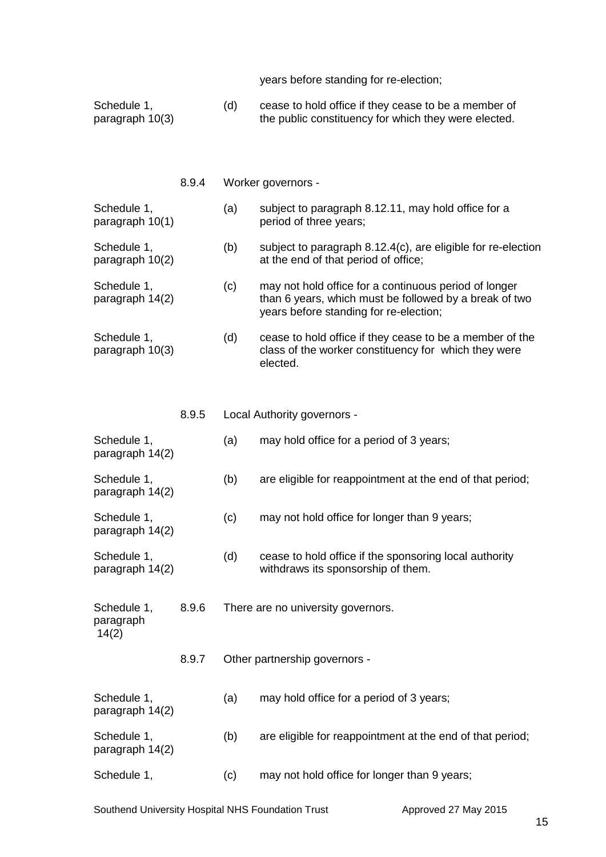years before standing for re-election;

- Schedule 1, (d) cease to hold office if they cease to be a member of paragraph 10(3)  $\qquad$  the public constituency for which they were elected. the public constituency for which they were elected.
	- 8.9.4 Worker governors -

# Schedule 1, (a) subject to paragraph 8.12.11, may hold office for a paragraph 10(1) eriod of three years; period of three years;

- Schedule 1, (b) subject to paragraph 8.12.4(c), are eligible for re-election paragraph 10(2) at the end of that period of office;
- Schedule 1, (c) may not hold office for a continuous period of longer<br>paragraph 14(2) than 6 years, which must be followed by a break of ty than 6 years, which must be followed by a break of two years before standing for re-election;
- Schedule 1, (d) cease to hold office if they cease to be a member of the paragraph 10(3) class of the worker constituency for which they were elected.
	- 8.9.5 Local Authority governors -
- Schedule 1, (a) may hold office for a period of 3 years; paragraph 14(2) Schedule 1, (b) are eligible for reappointment at the end of that period; paragraph 14(2) Schedule 1, (c) may not hold office for longer than 9 years; paragraph 14(2) Schedule 1, (d) cease to hold office if the sponsoring local authority paragraph 14(2) withdraws its sponsorship of them. Schedule 1, 8.9.6 There are no university governors. paragraph 14(2) 8.9.7 Other partnership governors - Schedule 1, (a) may hold office for a period of 3 years; paragraph 14(2) Schedule 1, (b) are eligible for reappointment at the end of that period; paragraph 14(2) Schedule 1, (c) may not hold office for longer than 9 years;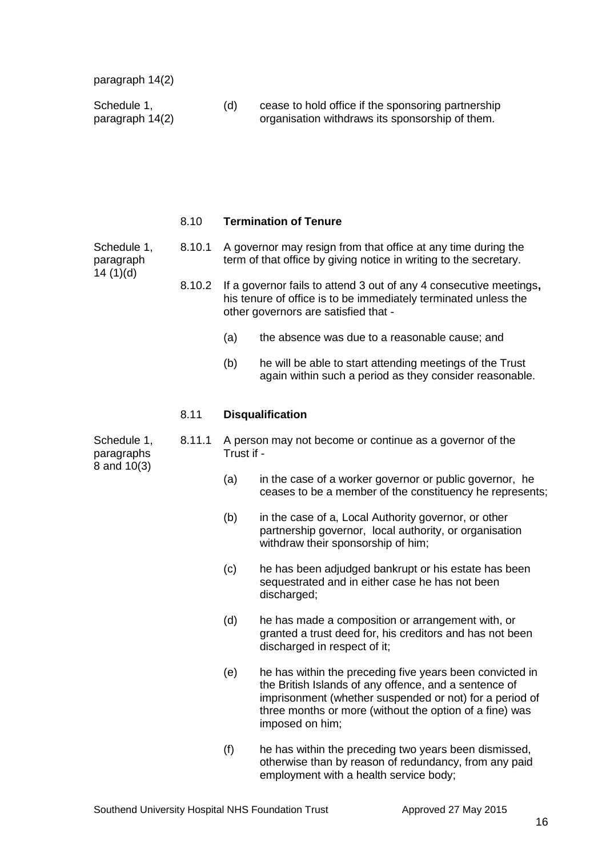paragraph 14(2)

Schedule 1, (d) cease to hold office if the sponsoring partnership<br>paragraph 14(2) organisation withdraws its sponsorship of them. organisation withdraws its sponsorship of them.

#### 8.10 **Termination of Tenure**

 $14(1)(d)$ 

- Schedule 1, 8.10.1 A governor may resign from that office at any time during the paragraph term of that office by giving notice in writing to the secretary.
	- 8.10.2 If a governor fails to attend 3 out of any 4 consecutive meetings**,**  his tenure of office is to be immediately terminated unless the other governors are satisfied that -
		- (a) the absence was due to a reasonable cause; and
		- (b) he will be able to start attending meetings of the Trust again within such a period as they consider reasonable.

#### 8.11 **Disqualification**

paragraphs 8 and 10(3)

- Schedule 1, 8.11.1 A person may not become or continue as a governor of the paragraphs
	- (a) in the case of a worker governor or public governor, he ceases to be a member of the constituency he represents;
	- (b) in the case of a, Local Authority governor, or other partnership governor, local authority, or organisation withdraw their sponsorship of him;
	- (c) he has been adjudged bankrupt or his estate has been sequestrated and in either case he has not been discharged;
	- (d) he has made a composition or arrangement with, or granted a trust deed for, his creditors and has not been discharged in respect of it;
	- (e) he has within the preceding five years been convicted in the British Islands of any offence, and a sentence of imprisonment (whether suspended or not) for a period of three months or more (without the option of a fine) was imposed on him;
	- (f) he has within the preceding two years been dismissed, otherwise than by reason of redundancy, from any paid employment with a health service body;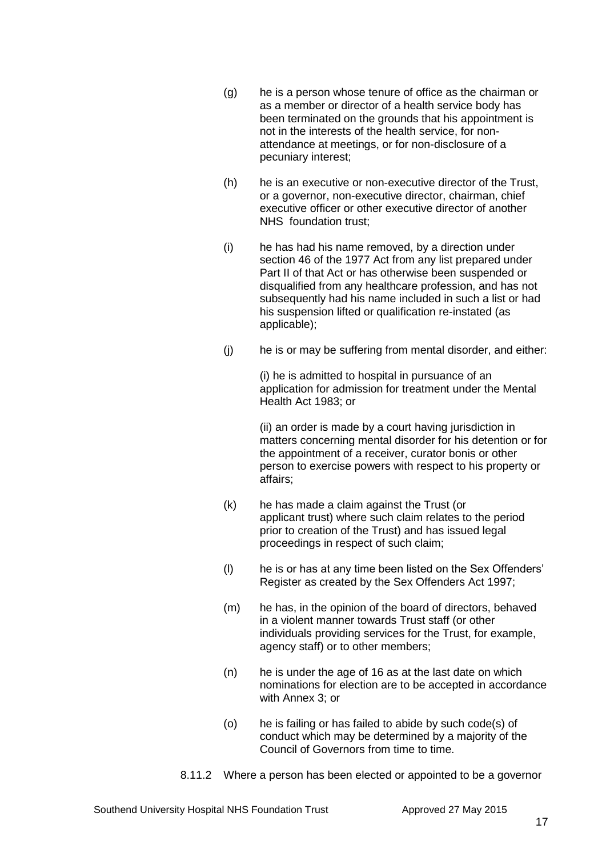- (g) he is a person whose tenure of office as the chairman or as a member or director of a health service body has been terminated on the grounds that his appointment is not in the interests of the health service, for nonattendance at meetings, or for non-disclosure of a pecuniary interest;
- (h) he is an executive or non-executive director of the Trust, or a governor, non-executive director, chairman, chief executive officer or other executive director of another NHS foundation trust;
- (i) he has had his name removed, by a direction under section 46 of the 1977 Act from any list prepared under Part II of that Act or has otherwise been suspended or disqualified from any healthcare profession, and has not subsequently had his name included in such a list or had his suspension lifted or qualification re-instated (as applicable);
- (j) he is or may be suffering from mental disorder, and either:

(i) he is admitted to hospital in pursuance of an application for admission for treatment under the Mental Health Act 1983; or

(ii) an order is made by a court having jurisdiction in matters concerning mental disorder for his detention or for the appointment of a receiver, curator bonis or other person to exercise powers with respect to his property or affairs;

- (k) he has made a claim against the Trust (or applicant trust) where such claim relates to the period prior to creation of the Trust) and has issued legal proceedings in respect of such claim;
- (l) he is or has at any time been listed on the Sex Offenders' Register as created by the Sex Offenders Act 1997;
- (m) he has, in the opinion of the board of directors, behaved in a violent manner towards Trust staff (or other individuals providing services for the Trust, for example, agency staff) or to other members;
- (n) he is under the age of 16 as at the last date on which nominations for election are to be accepted in accordance with Annex 3; or
- (o) he is failing or has failed to abide by such code(s) of conduct which may be determined by a majority of the Council of Governors from time to time.
- 8.11.2 Where a person has been elected or appointed to be a governor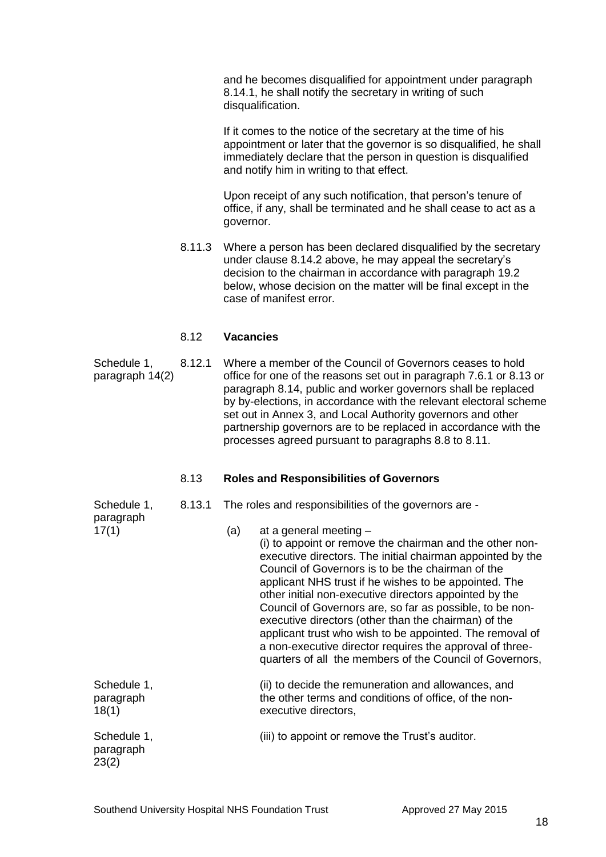and he becomes disqualified for appointment under paragraph 8.14.1, he shall notify the secretary in writing of such disqualification.

If it comes to the notice of the secretary at the time of his appointment or later that the governor is so disqualified, he shall immediately declare that the person in question is disqualified and notify him in writing to that effect.

Upon receipt of any such notification, that person's tenure of office, if any, shall be terminated and he shall cease to act as a governor.

8.11.3 Where a person has been declared disqualified by the secretary under clause 8.14.2 above, he may appeal the secretary's decision to the chairman in accordance with paragraph 19.2 below, whose decision on the matter will be final except in the case of manifest error.

#### 8.12 **Vacancies**

Schedule 1, 8.12.1 Where a member of the Council of Governors ceases to hold paragraph 14(2) office for one of the reasons set out in paragraph 7.6.1 or 8.13 or paragraph 8.14, public and worker governors shall be replaced by by-elections, in accordance with the relevant electoral scheme set out in Annex 3, and Local Authority governors and other partnership governors are to be replaced in accordance with the processes agreed pursuant to paragraphs 8.8 to 8.11.

#### 8.13 **Roles and Responsibilities of Governors**

Schedule 1, 8.13.1 The roles and responsibilities of the governors are -

| paragraph                         |     |                                                                                                                                                                                                                                                                                                                                                                                                                                                                                                                                                                                                                                  |
|-----------------------------------|-----|----------------------------------------------------------------------------------------------------------------------------------------------------------------------------------------------------------------------------------------------------------------------------------------------------------------------------------------------------------------------------------------------------------------------------------------------------------------------------------------------------------------------------------------------------------------------------------------------------------------------------------|
| 17(1)                             | (a) | at a general meeting -<br>(i) to appoint or remove the chairman and the other non-<br>executive directors. The initial chairman appointed by the<br>Council of Governors is to be the chairman of the<br>applicant NHS trust if he wishes to be appointed. The<br>other initial non-executive directors appointed by the<br>Council of Governors are, so far as possible, to be non-<br>executive directors (other than the chairman) of the<br>applicant trust who wish to be appointed. The removal of<br>a non-executive director requires the approval of three-<br>quarters of all the members of the Council of Governors, |
| Schedule 1,<br>paragraph<br>18(1) |     | (ii) to decide the remuneration and allowances, and<br>the other terms and conditions of office, of the non-<br>executive directors,                                                                                                                                                                                                                                                                                                                                                                                                                                                                                             |
| Schedule 1,<br>paragraph<br>23(2) |     | (iii) to appoint or remove the Trust's auditor.                                                                                                                                                                                                                                                                                                                                                                                                                                                                                                                                                                                  |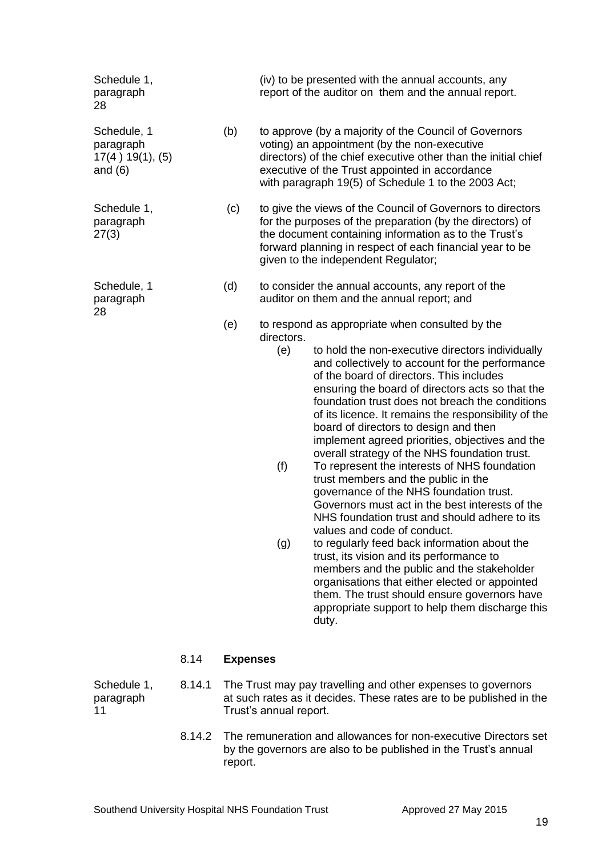| Schedule 1,                                               | 8.14<br>8.14.1 | <b>Expenses</b> |                                 | The Trust may pay travelling and other expenses to governors                                                                                                                                                                                                                                                                                                                                                                                                                                                                                                                                                                                                                                                                                                                                                                                                                                                                                                                                                                                                                                |
|-----------------------------------------------------------|----------------|-----------------|---------------------------------|---------------------------------------------------------------------------------------------------------------------------------------------------------------------------------------------------------------------------------------------------------------------------------------------------------------------------------------------------------------------------------------------------------------------------------------------------------------------------------------------------------------------------------------------------------------------------------------------------------------------------------------------------------------------------------------------------------------------------------------------------------------------------------------------------------------------------------------------------------------------------------------------------------------------------------------------------------------------------------------------------------------------------------------------------------------------------------------------|
|                                                           |                | (e)             | directors.<br>(e)<br>(f)<br>(g) | to respond as appropriate when consulted by the<br>to hold the non-executive directors individually<br>and collectively to account for the performance<br>of the board of directors. This includes<br>ensuring the board of directors acts so that the<br>foundation trust does not breach the conditions<br>of its licence. It remains the responsibility of the<br>board of directors to design and then<br>implement agreed priorities, objectives and the<br>overall strategy of the NHS foundation trust.<br>To represent the interests of NHS foundation<br>trust members and the public in the<br>governance of the NHS foundation trust.<br>Governors must act in the best interests of the<br>NHS foundation trust and should adhere to its<br>values and code of conduct.<br>to regularly feed back information about the<br>trust, its vision and its performance to<br>members and the public and the stakeholder<br>organisations that either elected or appointed<br>them. The trust should ensure governors have<br>appropriate support to help them discharge this<br>duty. |
| Schedule, 1<br>paragraph<br>28                            |                | (d)             |                                 | to consider the annual accounts, any report of the<br>auditor on them and the annual report; and                                                                                                                                                                                                                                                                                                                                                                                                                                                                                                                                                                                                                                                                                                                                                                                                                                                                                                                                                                                            |
| Schedule 1,<br>paragraph<br>27(3)                         |                | (c)             |                                 | to give the views of the Council of Governors to directors<br>for the purposes of the preparation (by the directors) of<br>the document containing information as to the Trust's<br>forward planning in respect of each financial year to be<br>given to the independent Regulator;                                                                                                                                                                                                                                                                                                                                                                                                                                                                                                                                                                                                                                                                                                                                                                                                         |
| Schedule, 1<br>paragraph<br>17(4) 19(1), (5)<br>and $(6)$ |                | (b)             |                                 | to approve (by a majority of the Council of Governors<br>voting) an appointment (by the non-executive<br>directors) of the chief executive other than the initial chief<br>executive of the Trust appointed in accordance<br>with paragraph 19(5) of Schedule 1 to the 2003 Act;                                                                                                                                                                                                                                                                                                                                                                                                                                                                                                                                                                                                                                                                                                                                                                                                            |
| Schedule 1,<br>paragraph<br>28                            |                |                 |                                 | (iv) to be presented with the annual accounts, any<br>report of the auditor on them and the annual report.                                                                                                                                                                                                                                                                                                                                                                                                                                                                                                                                                                                                                                                                                                                                                                                                                                                                                                                                                                                  |

- paragraph at such rates as it decides. These rates are to be published in the paragraph Trust's annual report.
	- 8.14.2 The remuneration and allowances for non-executive Directors set by the governors are also to be published in the Trust's annual report.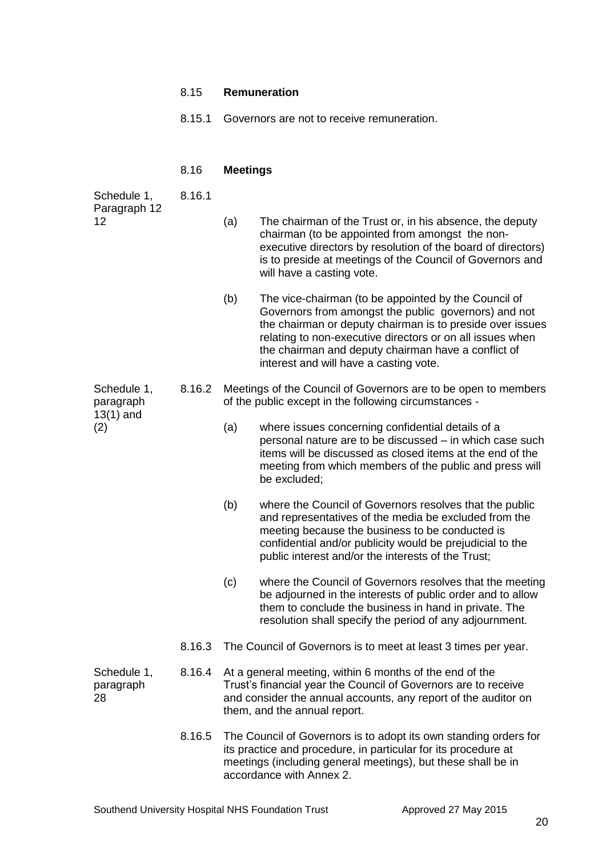# 8.15 **Remuneration**

8.15.1 Governors are not to receive remuneration.

# 8.16 **Meetings**

| Schedule 1,<br>Paragraph 12                    | 8.16.1 |                                                                                                                         |                                                                                                                                                                                                                                                                                                                                         |  |
|------------------------------------------------|--------|-------------------------------------------------------------------------------------------------------------------------|-----------------------------------------------------------------------------------------------------------------------------------------------------------------------------------------------------------------------------------------------------------------------------------------------------------------------------------------|--|
| 12                                             |        | (a)                                                                                                                     | The chairman of the Trust or, in his absence, the deputy<br>chairman (to be appointed from amongst the non-<br>executive directors by resolution of the board of directors)<br>is to preside at meetings of the Council of Governors and<br>will have a casting vote.                                                                   |  |
|                                                |        | (b)                                                                                                                     | The vice-chairman (to be appointed by the Council of<br>Governors from amongst the public governors) and not<br>the chairman or deputy chairman is to preside over issues<br>relating to non-executive directors or on all issues when<br>the chairman and deputy chairman have a conflict of<br>interest and will have a casting vote. |  |
| Schedule 1,<br>paragraph<br>$13(1)$ and<br>(2) | 8.16.2 | Meetings of the Council of Governors are to be open to members<br>of the public except in the following circumstances - |                                                                                                                                                                                                                                                                                                                                         |  |
|                                                |        | (a)                                                                                                                     | where issues concerning confidential details of a<br>personal nature are to be discussed - in which case such<br>items will be discussed as closed items at the end of the<br>meeting from which members of the public and press will<br>be excluded;                                                                                   |  |
|                                                |        | (b)                                                                                                                     | where the Council of Governors resolves that the public<br>and representatives of the media be excluded from the<br>meeting because the business to be conducted is<br>confidential and/or publicity would be prejudicial to the<br>public interest and/or the interests of the Trust;                                                  |  |
|                                                |        | (c)                                                                                                                     | where the Council of Governors resolves that the meeting<br>be adjourned in the interests of public order and to allow<br>them to conclude the business in hand in private. The<br>resolution shall specify the period of any adjournment.                                                                                              |  |
|                                                | 8.16.3 |                                                                                                                         | The Council of Governors is to meet at least 3 times per year.                                                                                                                                                                                                                                                                          |  |
| Schedule 1,<br>paragraph<br>28                 | 8.16.4 |                                                                                                                         | At a general meeting, within 6 months of the end of the<br>Trust's financial year the Council of Governors are to receive<br>and consider the annual accounts, any report of the auditor on<br>them, and the annual report.                                                                                                             |  |
|                                                | 8.16.5 |                                                                                                                         | The Council of Governors is to adopt its own standing orders for<br>its practice and procedure, in particular for its procedure at<br>meetings (including general meetings), but these shall be in<br>accordance with Annex 2.                                                                                                          |  |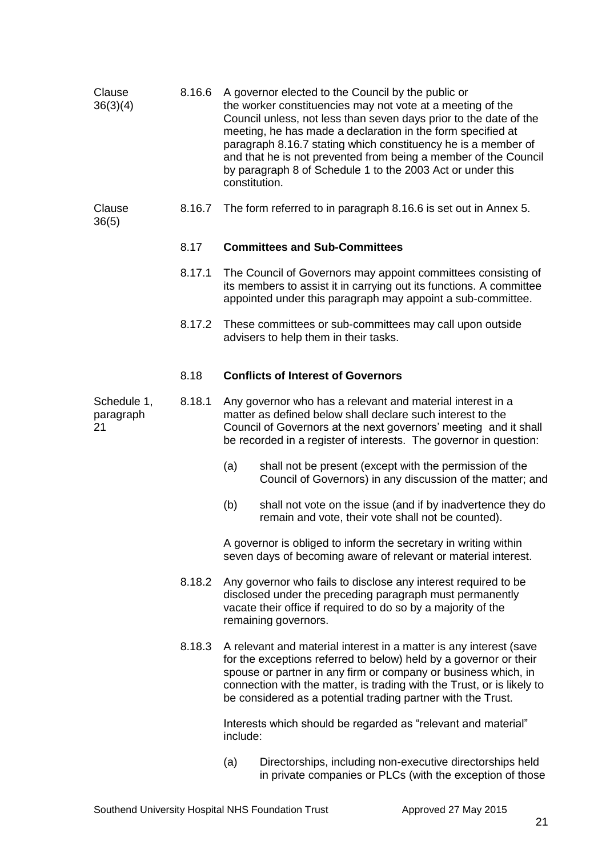| Clause<br>36(3)(4)             | 8.16.6 | A governor elected to the Council by the public or<br>the worker constituencies may not vote at a meeting of the<br>Council unless, not less than seven days prior to the date of the<br>meeting, he has made a declaration in the form specified at<br>paragraph 8.16.7 stating which constituency he is a member of<br>and that he is not prevented from being a member of the Council<br>by paragraph 8 of Schedule 1 to the 2003 Act or under this<br>constitution. |  |  |
|--------------------------------|--------|-------------------------------------------------------------------------------------------------------------------------------------------------------------------------------------------------------------------------------------------------------------------------------------------------------------------------------------------------------------------------------------------------------------------------------------------------------------------------|--|--|
| Clause<br>36(5)                | 8.16.7 | The form referred to in paragraph 8.16.6 is set out in Annex 5.                                                                                                                                                                                                                                                                                                                                                                                                         |  |  |
|                                | 8.17   | <b>Committees and Sub-Committees</b>                                                                                                                                                                                                                                                                                                                                                                                                                                    |  |  |
|                                | 8.17.1 | The Council of Governors may appoint committees consisting of<br>its members to assist it in carrying out its functions. A committee<br>appointed under this paragraph may appoint a sub-committee.                                                                                                                                                                                                                                                                     |  |  |
|                                | 8.17.2 | These committees or sub-committees may call upon outside<br>advisers to help them in their tasks.                                                                                                                                                                                                                                                                                                                                                                       |  |  |
|                                | 8.18   | <b>Conflicts of Interest of Governors</b>                                                                                                                                                                                                                                                                                                                                                                                                                               |  |  |
| Schedule 1,<br>paragraph<br>21 | 8.18.1 | Any governor who has a relevant and material interest in a<br>matter as defined below shall declare such interest to the<br>Council of Governors at the next governors' meeting and it shall<br>be recorded in a register of interests. The governor in question:                                                                                                                                                                                                       |  |  |
|                                |        | shall not be present (except with the permission of the<br>(a)<br>Council of Governors) in any discussion of the matter; and                                                                                                                                                                                                                                                                                                                                            |  |  |
|                                |        | (b)<br>shall not vote on the issue (and if by inadvertence they do<br>remain and vote, their vote shall not be counted).                                                                                                                                                                                                                                                                                                                                                |  |  |
|                                |        | A governor is obliged to inform the secretary in writing within<br>seven days of becoming aware of relevant or material interest.                                                                                                                                                                                                                                                                                                                                       |  |  |
|                                | 8.18.2 | Any governor who fails to disclose any interest required to be<br>disclosed under the preceding paragraph must permanently<br>vacate their office if required to do so by a majority of the<br>remaining governors.                                                                                                                                                                                                                                                     |  |  |
|                                | 8.18.3 | A relevant and material interest in a matter is any interest (save<br>for the exceptions referred to below) held by a governor or their<br>spouse or partner in any firm or company or business which, in<br>connection with the matter, is trading with the Trust, or is likely to<br>be considered as a potential trading partner with the Trust.                                                                                                                     |  |  |
|                                |        | Interests which should be regarded as "relevant and material"<br>include:                                                                                                                                                                                                                                                                                                                                                                                               |  |  |
|                                |        | Directorships, including non-executive directorships held<br>(a)                                                                                                                                                                                                                                                                                                                                                                                                        |  |  |

in private companies or PLCs (with the exception of those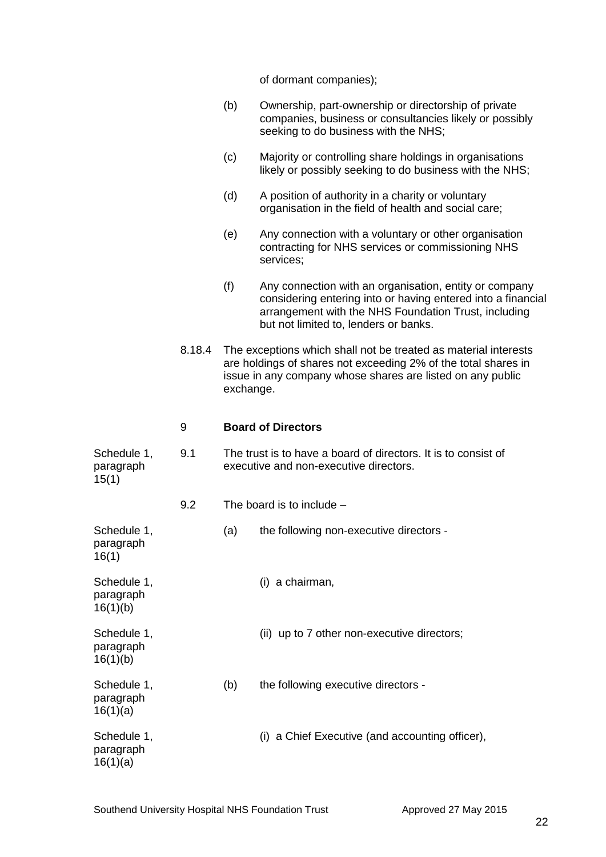of dormant companies);

|                                      |        | (b)       | Ownership, part-ownership or directorship of private<br>companies, business or consultancies likely or possibly<br>seeking to do business with the NHS;                                                                 |
|--------------------------------------|--------|-----------|-------------------------------------------------------------------------------------------------------------------------------------------------------------------------------------------------------------------------|
|                                      |        | (c)       | Majority or controlling share holdings in organisations<br>likely or possibly seeking to do business with the NHS;                                                                                                      |
|                                      |        | (d)       | A position of authority in a charity or voluntary<br>organisation in the field of health and social care;                                                                                                               |
|                                      |        | (e)       | Any connection with a voluntary or other organisation<br>contracting for NHS services or commissioning NHS<br>services;                                                                                                 |
|                                      |        | (f)       | Any connection with an organisation, entity or company<br>considering entering into or having entered into a financial<br>arrangement with the NHS Foundation Trust, including<br>but not limited to, lenders or banks. |
|                                      | 8.18.4 | exchange. | The exceptions which shall not be treated as material interests<br>are holdings of shares not exceeding 2% of the total shares in<br>issue in any company whose shares are listed on any public                         |
|                                      | 9      |           | <b>Board of Directors</b>                                                                                                                                                                                               |
| Schedule 1,<br>paragraph<br>15(1)    | 9.1    |           | The trust is to have a board of directors. It is to consist of<br>executive and non-executive directors.                                                                                                                |
|                                      | 9.2    |           | The board is to include $-$                                                                                                                                                                                             |
| Schedule 1,<br>paragraph<br>16(1)    |        | (a)       | the following non-executive directors -                                                                                                                                                                                 |
| Schedule 1,<br>paragraph<br>16(1)(b) |        |           | (i) a chairman,                                                                                                                                                                                                         |
| Schedule 1,<br>paragraph<br>16(1)(b) |        |           | (ii) up to 7 other non-executive directors;                                                                                                                                                                             |
| Schedule 1,<br>paragraph<br>16(1)(a) |        | (b)       | the following executive directors -                                                                                                                                                                                     |
| Schedule 1,<br>paragraph<br>16(1)(a) |        |           | (i) a Chief Executive (and accounting officer),                                                                                                                                                                         |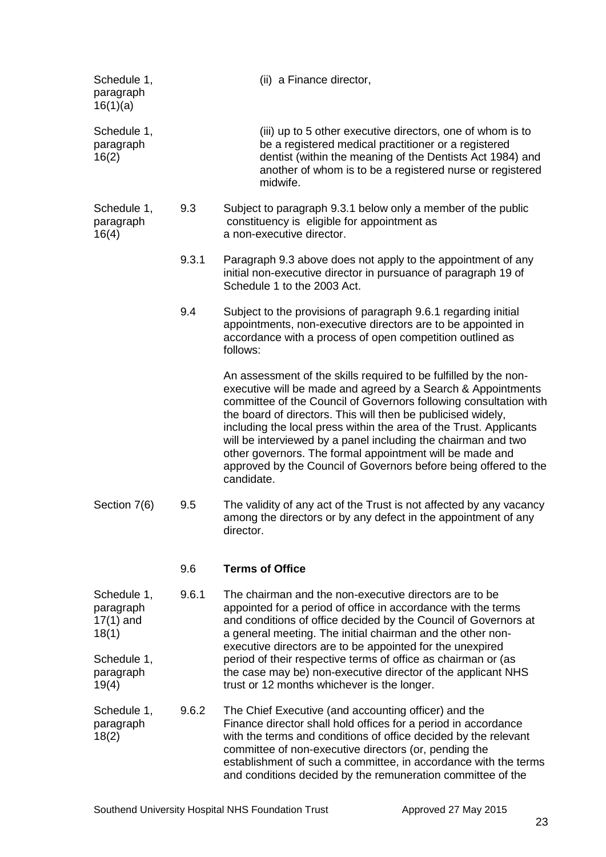| Schedule 1,<br>paragraph<br>16(1)(a)             |       | (ii) a Finance director,                                                                                                                                                                                                                                                                                                                                                                                                                                                                                                                                   |
|--------------------------------------------------|-------|------------------------------------------------------------------------------------------------------------------------------------------------------------------------------------------------------------------------------------------------------------------------------------------------------------------------------------------------------------------------------------------------------------------------------------------------------------------------------------------------------------------------------------------------------------|
| Schedule 1,<br>paragraph<br>16(2)                |       | (iii) up to 5 other executive directors, one of whom is to<br>be a registered medical practitioner or a registered<br>dentist (within the meaning of the Dentists Act 1984) and<br>another of whom is to be a registered nurse or registered<br>midwife.                                                                                                                                                                                                                                                                                                   |
| Schedule 1,<br>paragraph<br>16(4)                | 9.3   | Subject to paragraph 9.3.1 below only a member of the public<br>constituency is eligible for appointment as<br>a non-executive director.                                                                                                                                                                                                                                                                                                                                                                                                                   |
|                                                  | 9.3.1 | Paragraph 9.3 above does not apply to the appointment of any<br>initial non-executive director in pursuance of paragraph 19 of<br>Schedule 1 to the 2003 Act.                                                                                                                                                                                                                                                                                                                                                                                              |
|                                                  | 9.4   | Subject to the provisions of paragraph 9.6.1 regarding initial<br>appointments, non-executive directors are to be appointed in<br>accordance with a process of open competition outlined as<br>follows:                                                                                                                                                                                                                                                                                                                                                    |
|                                                  |       | An assessment of the skills required to be fulfilled by the non-<br>executive will be made and agreed by a Search & Appointments<br>committee of the Council of Governors following consultation with<br>the board of directors. This will then be publicised widely,<br>including the local press within the area of the Trust. Applicants<br>will be interviewed by a panel including the chairman and two<br>other governors. The formal appointment will be made and<br>approved by the Council of Governors before being offered to the<br>candidate. |
| Section 7(6)                                     | 9.5   | The validity of any act of the Trust is not affected by any vacancy<br>among the directors or by any defect in the appointment of any<br>director.                                                                                                                                                                                                                                                                                                                                                                                                         |
|                                                  | 9.6   | <b>Terms of Office</b>                                                                                                                                                                                                                                                                                                                                                                                                                                                                                                                                     |
| Schedule 1,<br>paragraph<br>$17(1)$ and<br>18(1) | 9.6.1 | The chairman and the non-executive directors are to be<br>appointed for a period of office in accordance with the terms<br>and conditions of office decided by the Council of Governors at<br>a general meeting. The initial chairman and the other non-<br>executive directors are to be appointed for the unexpired                                                                                                                                                                                                                                      |
| Schedule 1,<br>paragraph<br>19(4)                |       | period of their respective terms of office as chairman or (as<br>the case may be) non-executive director of the applicant NHS<br>trust or 12 months whichever is the longer.                                                                                                                                                                                                                                                                                                                                                                               |
| Schedule 1,<br>paragraph<br>18(2)                | 9.6.2 | The Chief Executive (and accounting officer) and the<br>Finance director shall hold offices for a period in accordance<br>with the terms and conditions of office decided by the relevant<br>committee of non-executive directors (or, pending the<br>establishment of such a committee, in accordance with the terms<br>and conditions decided by the remuneration committee of the                                                                                                                                                                       |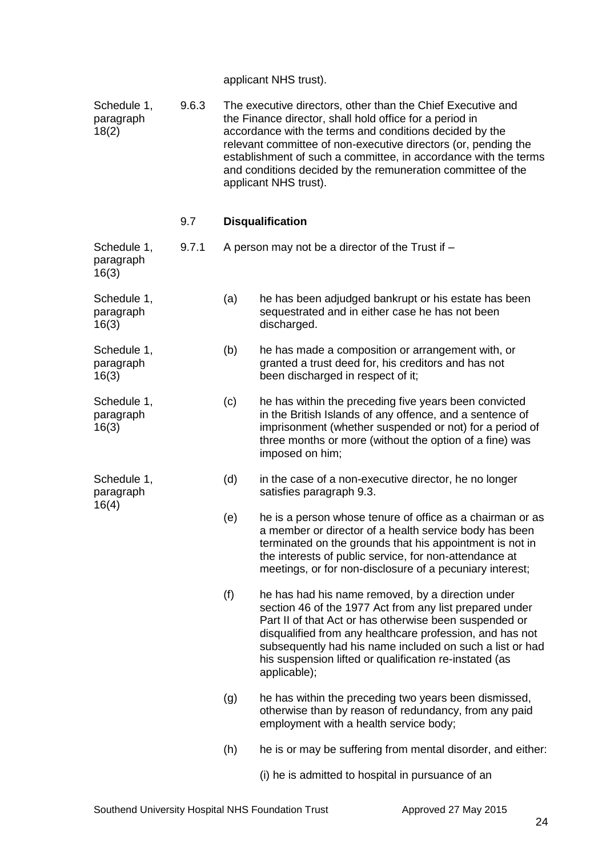applicant NHS trust).

| Schedule 1,<br>paragraph<br>18(2) | 9.6.3 |     | The executive directors, other than the Chief Executive and<br>the Finance director, shall hold office for a period in<br>accordance with the terms and conditions decided by the<br>relevant committee of non-executive directors (or, pending the<br>establishment of such a committee, in accordance with the terms<br>and conditions decided by the remuneration committee of the<br>applicant NHS trust). |
|-----------------------------------|-------|-----|----------------------------------------------------------------------------------------------------------------------------------------------------------------------------------------------------------------------------------------------------------------------------------------------------------------------------------------------------------------------------------------------------------------|
|                                   | 9.7   |     | <b>Disqualification</b>                                                                                                                                                                                                                                                                                                                                                                                        |
| Schedule 1,<br>paragraph<br>16(3) | 9.7.1 |     | A person may not be a director of the Trust if -                                                                                                                                                                                                                                                                                                                                                               |
| Schedule 1,<br>paragraph<br>16(3) |       | (a) | he has been adjudged bankrupt or his estate has been<br>sequestrated and in either case he has not been<br>discharged.                                                                                                                                                                                                                                                                                         |
| Schedule 1,<br>paragraph<br>16(3) |       | (b) | he has made a composition or arrangement with, or<br>granted a trust deed for, his creditors and has not<br>been discharged in respect of it;                                                                                                                                                                                                                                                                  |
| Schedule 1,<br>paragraph<br>16(3) |       | (c) | he has within the preceding five years been convicted<br>in the British Islands of any offence, and a sentence of<br>imprisonment (whether suspended or not) for a period of<br>three months or more (without the option of a fine) was<br>imposed on him;                                                                                                                                                     |
| Schedule 1,<br>paragraph<br>16(4) |       | (d) | in the case of a non-executive director, he no longer<br>satisfies paragraph 9.3.                                                                                                                                                                                                                                                                                                                              |
|                                   |       | (e) | he is a person whose tenure of office as a chairman or as<br>a member or director of a health service body has been<br>terminated on the grounds that his appointment is not in<br>the interests of public service, for non-attendance at<br>meetings, or for non-disclosure of a pecuniary interest;                                                                                                          |
|                                   |       | (f) | he has had his name removed, by a direction under<br>section 46 of the 1977 Act from any list prepared under<br>Part II of that Act or has otherwise been suspended or<br>disqualified from any healthcare profession, and has not<br>subsequently had his name included on such a list or had<br>his suspension lifted or qualification re-instated (as<br>applicable);                                       |
|                                   |       | (g) | he has within the preceding two years been dismissed,<br>otherwise than by reason of redundancy, from any paid<br>employment with a health service body;                                                                                                                                                                                                                                                       |
|                                   |       | (h) | he is or may be suffering from mental disorder, and either:                                                                                                                                                                                                                                                                                                                                                    |
|                                   |       |     | (i) he is admitted to hospital in pursuance of an                                                                                                                                                                                                                                                                                                                                                              |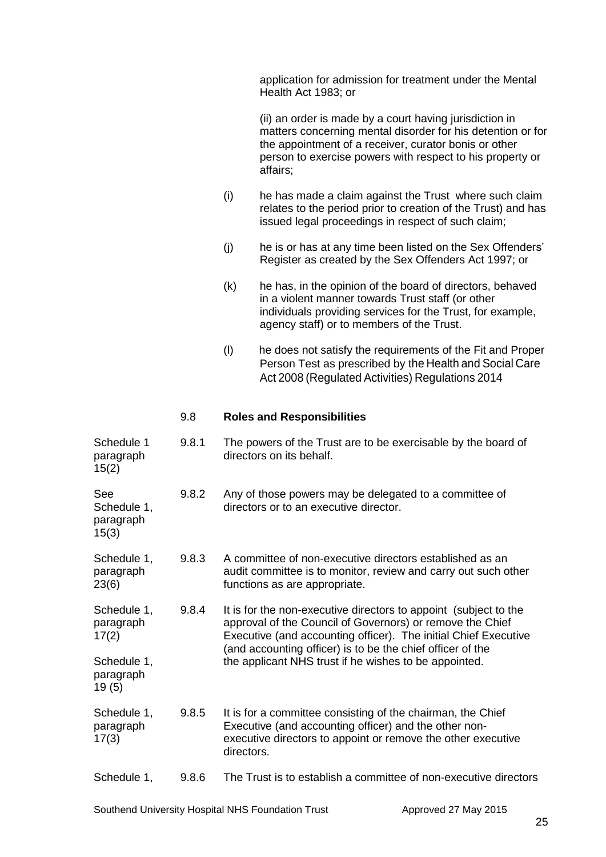| application for admission for treatment under the Mental |
|----------------------------------------------------------|
| Health Act 1983; or                                      |

(ii) an order is made by a court having jurisdiction in matters concerning mental disorder for his detention or for the appointment of a receiver, curator bonis or other person to exercise powers with respect to his property or affairs;

- (i) he has made a claim against the Trust where such claim relates to the period prior to creation of the Trust) and has issued legal proceedings in respect of such claim;
- (j) he is or has at any time been listed on the Sex Offenders' Register as created by the Sex Offenders Act 1997; or
- (k) he has, in the opinion of the board of directors, behaved in a violent manner towards Trust staff (or other individuals providing services for the Trust, for example, agency staff) or to members of the Trust.
- (l) he does not satisfy the requirements of the Fit and Proper Person Test as prescribed by the Health and Social Care Act 2008 (Regulated Activities) Regulations 2014

#### 9.8 **Roles and Responsibilities**

| Schedule 1<br>paragraph<br>15(2)         | 9.8.1 | The powers of the Trust are to be exercisable by the board of<br>directors on its behalf.                                                                                                                                                                      |
|------------------------------------------|-------|----------------------------------------------------------------------------------------------------------------------------------------------------------------------------------------------------------------------------------------------------------------|
| See<br>Schedule 1,<br>paragraph<br>15(3) | 9.8.2 | Any of those powers may be delegated to a committee of<br>directors or to an executive director.                                                                                                                                                               |
| Schedule 1,<br>paragraph<br>23(6)        | 9.8.3 | A committee of non-executive directors established as an<br>audit committee is to monitor, review and carry out such other<br>functions as are appropriate.                                                                                                    |
| Schedule 1,<br>paragraph<br>17(2)        | 9.8.4 | It is for the non-executive directors to appoint (subject to the<br>approval of the Council of Governors) or remove the Chief<br>Executive (and accounting officer). The initial Chief Executive<br>(and accounting officer) is to be the chief officer of the |
| Schedule 1,<br>paragraph<br>19(5)        |       | the applicant NHS trust if he wishes to be appointed.                                                                                                                                                                                                          |
| Schedule 1,<br>paragraph<br>17(3)        | 9.8.5 | It is for a committee consisting of the chairman, the Chief<br>Executive (and accounting officer) and the other non-<br>executive directors to appoint or remove the other executive<br>directors.                                                             |
| Schedule 1,                              | 9.8.6 | The Trust is to establish a committee of non-executive directors                                                                                                                                                                                               |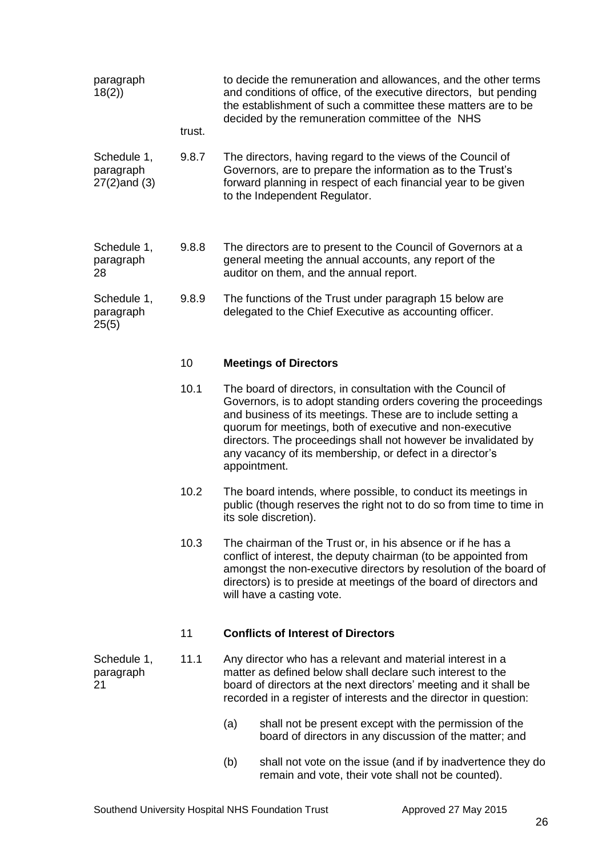| paragraph<br>18(2)                            |        | to decide the remuneration and allowances, and the other terms<br>and conditions of office, of the executive directors, but pending<br>the establishment of such a committee these matters are to be<br>decided by the remuneration committee of the NHS                                                                                                                                                 |
|-----------------------------------------------|--------|----------------------------------------------------------------------------------------------------------------------------------------------------------------------------------------------------------------------------------------------------------------------------------------------------------------------------------------------------------------------------------------------------------|
|                                               | trust. |                                                                                                                                                                                                                                                                                                                                                                                                          |
| Schedule 1,<br>paragraph<br>$27(2)$ and $(3)$ | 9.8.7  | The directors, having regard to the views of the Council of<br>Governors, are to prepare the information as to the Trust's<br>forward planning in respect of each financial year to be given<br>to the Independent Regulator.                                                                                                                                                                            |
| Schedule 1,<br>paragraph<br>28                | 9.8.8  | The directors are to present to the Council of Governors at a<br>general meeting the annual accounts, any report of the<br>auditor on them, and the annual report.                                                                                                                                                                                                                                       |
| Schedule 1,<br>paragraph<br>25(5)             | 9.8.9  | The functions of the Trust under paragraph 15 below are<br>delegated to the Chief Executive as accounting officer.                                                                                                                                                                                                                                                                                       |
|                                               | 10     | <b>Meetings of Directors</b>                                                                                                                                                                                                                                                                                                                                                                             |
|                                               | 10.1   | The board of directors, in consultation with the Council of<br>Governors, is to adopt standing orders covering the proceedings<br>and business of its meetings. These are to include setting a<br>quorum for meetings, both of executive and non-executive<br>directors. The proceedings shall not however be invalidated by<br>any vacancy of its membership, or defect in a director's<br>appointment. |
|                                               | 10.2   | The board intends, where possible, to conduct its meetings in<br>public (though reserves the right not to do so from time to time in<br>its sole discretion).                                                                                                                                                                                                                                            |
|                                               | 10.3   | The chairman of the Trust or, in his absence or if he has a<br>conflict of interest, the deputy chairman (to be appointed from<br>amongst the non-executive directors by resolution of the board of<br>directors) is to preside at meetings of the board of directors and<br>will have a casting vote.                                                                                                   |
|                                               | 11     | <b>Conflicts of Interest of Directors</b>                                                                                                                                                                                                                                                                                                                                                                |
| Schedule 1,<br>paragraph<br>21                | 11.1   | Any director who has a relevant and material interest in a<br>matter as defined below shall declare such interest to the<br>board of directors at the next directors' meeting and it shall be<br>recorded in a register of interests and the director in question:                                                                                                                                       |
|                                               |        | (a)<br>shall not be present except with the permission of the<br>board of directors in any discussion of the matter; and                                                                                                                                                                                                                                                                                 |
|                                               |        | shall not vote on the issue (and if by inadvertence they do<br>(b)<br>remain and vote, their vote shall not be counted).                                                                                                                                                                                                                                                                                 |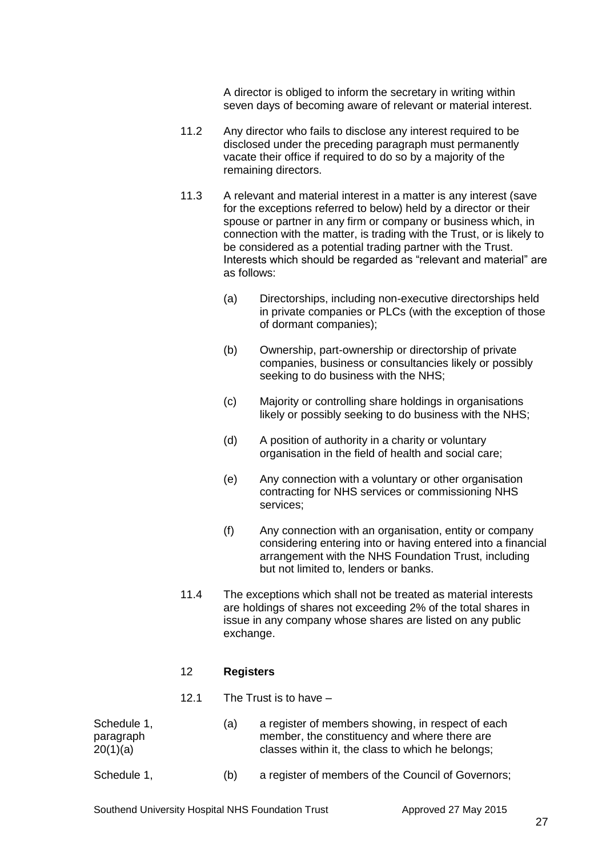A director is obliged to inform the secretary in writing within seven days of becoming aware of relevant or material interest.

- 11.2 Any director who fails to disclose any interest required to be disclosed under the preceding paragraph must permanently vacate their office if required to do so by a majority of the remaining directors.
- 11.3 A relevant and material interest in a matter is any interest (save for the exceptions referred to below) held by a director or their spouse or partner in any firm or company or business which, in connection with the matter, is trading with the Trust, or is likely to be considered as a potential trading partner with the Trust. Interests which should be regarded as "relevant and material" are as follows:
	- (a) Directorships, including non-executive directorships held in private companies or PLCs (with the exception of those of dormant companies);
	- (b) Ownership, part-ownership or directorship of private companies, business or consultancies likely or possibly seeking to do business with the NHS;
	- (c) Majority or controlling share holdings in organisations likely or possibly seeking to do business with the NHS;
	- (d) A position of authority in a charity or voluntary organisation in the field of health and social care;
	- (e) Any connection with a voluntary or other organisation contracting for NHS services or commissioning NHS services;
	- (f) Any connection with an organisation, entity or company considering entering into or having entered into a financial arrangement with the NHS Foundation Trust, including but not limited to, lenders or banks.
- 11.4 The exceptions which shall not be treated as material interests are holdings of shares not exceeding 2% of the total shares in issue in any company whose shares are listed on any public exchange.

# 12 **Registers**

12.1 The Trust is to have –

| Schedule 1,<br>(a)<br>paragraph<br>20(1)(a) | a register of members showing, in respect of each<br>member, the constituency and where there are<br>classes within it, the class to which he belongs; |                                                    |
|---------------------------------------------|--------------------------------------------------------------------------------------------------------------------------------------------------------|----------------------------------------------------|
| Schedule 1,                                 | (b)                                                                                                                                                    | a register of members of the Council of Governors; |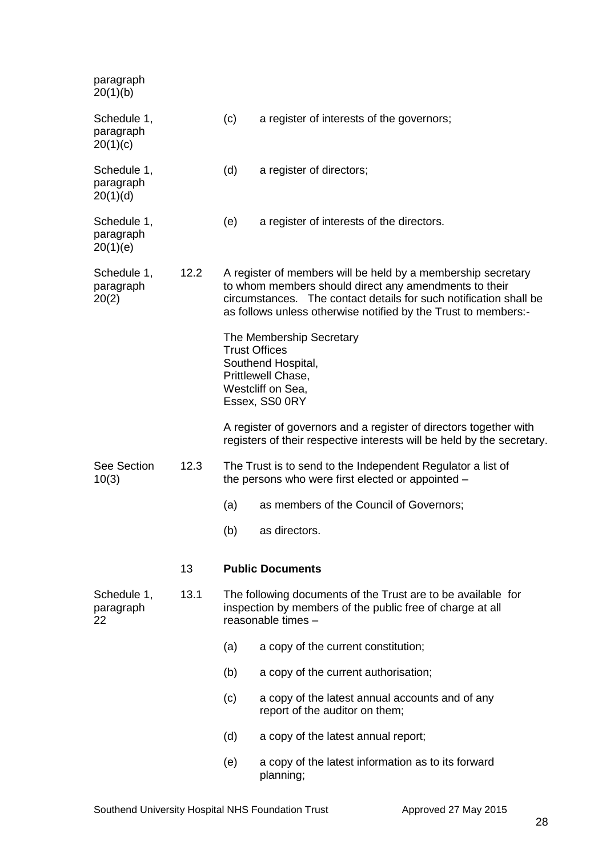| paragraph<br>20(1)(b)                |      |                      |                                                                                                                                                                                                                                                              |
|--------------------------------------|------|----------------------|--------------------------------------------------------------------------------------------------------------------------------------------------------------------------------------------------------------------------------------------------------------|
| Schedule 1,<br>paragraph<br>20(1)(c) |      | (c)                  | a register of interests of the governors;                                                                                                                                                                                                                    |
| Schedule 1,<br>paragraph<br>20(1)(d) |      | (d)                  | a register of directors;                                                                                                                                                                                                                                     |
| Schedule 1,<br>paragraph<br>20(1)(e) |      | (e)                  | a register of interests of the directors.                                                                                                                                                                                                                    |
| Schedule 1,<br>paragraph<br>20(2)    | 12.2 |                      | A register of members will be held by a membership secretary<br>to whom members should direct any amendments to their<br>circumstances. The contact details for such notification shall be<br>as follows unless otherwise notified by the Trust to members:- |
|                                      |      | <b>Trust Offices</b> | The Membership Secretary<br>Southend Hospital,<br>Prittlewell Chase,<br>Westcliff on Sea,<br>Essex, SS0 0RY                                                                                                                                                  |
|                                      |      |                      | A register of governors and a register of directors together with<br>registers of their respective interests will be held by the secretary.                                                                                                                  |
| See Section<br>10(3)                 | 12.3 |                      | The Trust is to send to the Independent Regulator a list of<br>the persons who were first elected or appointed -                                                                                                                                             |
|                                      |      | (a)                  | as members of the Council of Governors;                                                                                                                                                                                                                      |
|                                      |      | (b)                  | as directors.                                                                                                                                                                                                                                                |
|                                      | 13   |                      | <b>Public Documents</b>                                                                                                                                                                                                                                      |
| Schedule 1,<br>paragraph<br>22       | 13.1 |                      | The following documents of the Trust are to be available for<br>inspection by members of the public free of charge at all<br>reasonable times -                                                                                                              |
|                                      |      | (a)                  | a copy of the current constitution;                                                                                                                                                                                                                          |
|                                      |      | (b)                  | a copy of the current authorisation;                                                                                                                                                                                                                         |
|                                      |      | (c)                  | a copy of the latest annual accounts and of any<br>report of the auditor on them;                                                                                                                                                                            |
|                                      |      | (d)                  | a copy of the latest annual report;                                                                                                                                                                                                                          |
|                                      |      | (e)                  | a copy of the latest information as to its forward<br>planning;                                                                                                                                                                                              |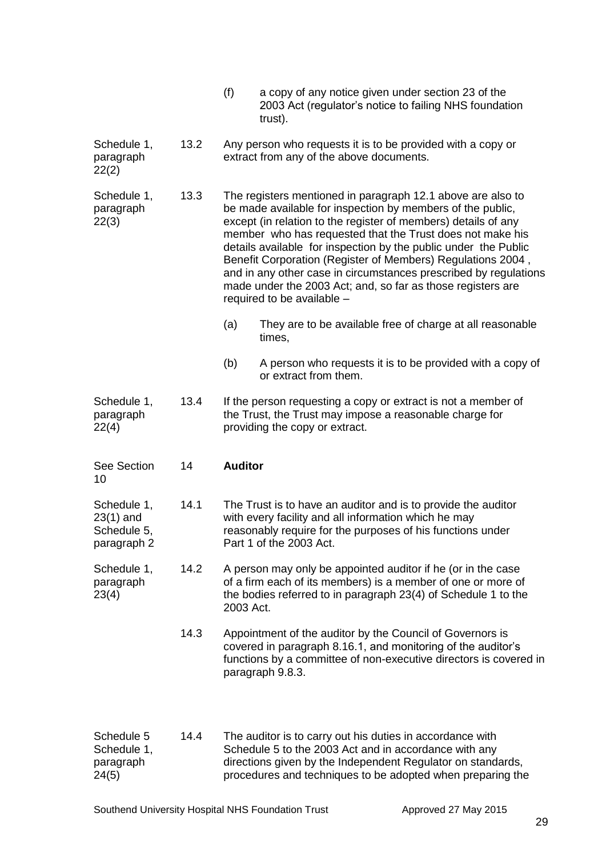| (f) | a copy of any notice given under section 23 of the     |
|-----|--------------------------------------------------------|
|     | 2003 Act (regulator's notice to failing NHS foundation |
|     | trust).                                                |

Schedule 1, 13.2 Any person who requests it is to be provided with a copy or paragraph extract from any of the above documents. 22(2)

Schedule 1, 13.3 The registers mentioned in paragraph 12.1 above are also to paragraph be made available for inspection by members of the public,<br>22(3) except (in relation to the register of members) details of any except (in relation to the register of members) details of any member who has requested that the Trust does not make his details available for inspection by the public under the Public Benefit Corporation (Register of Members) Regulations 2004 , and in any other case in circumstances prescribed by regulations made under the 2003 Act; and, so far as those registers are required to be available –

- (a) They are to be available free of charge at all reasonable times,
- (b) A person who requests it is to be provided with a copy of or extract from them.
- Schedule 1, 13.4 If the person requesting a copy or extract is not a member of paragraph the Trust, the Trust may impose a reasonable charge for 22(4) providing the copy or extract.
- See Section 14 **Auditor** 10

Schedule 1, 14.1 The Trust is to have an auditor and is to provide the auditor 23(1) and with every facility and all information which he may<br>Schedule 5. The mass of his functions reasonably require for the purposes of his functions under paragraph 2 Part 1 of the 2003 Act.

- Schedule 1, 14.2 A person may only be appointed auditor if he (or in the case paragraph of a firm each of its members) is a member of one or more of 23(4) the bodies referred to in paragraph 23(4) of Schedule 1 to the 2003 Act.
	- 14.3 Appointment of the auditor by the Council of Governors is covered in paragraph 8.16.1, and monitoring of the auditor's functions by a committee of non-executive directors is covered in paragraph 9.8.3.

| Schedule 5  | 14.4 | The auditor is to carry out his duties in accordance with   |
|-------------|------|-------------------------------------------------------------|
| Schedule 1, |      | Schedule 5 to the 2003 Act and in accordance with any       |
| paragraph   |      | directions given by the Independent Regulator on standards, |
| 24(5)       |      | procedures and techniques to be adopted when preparing the  |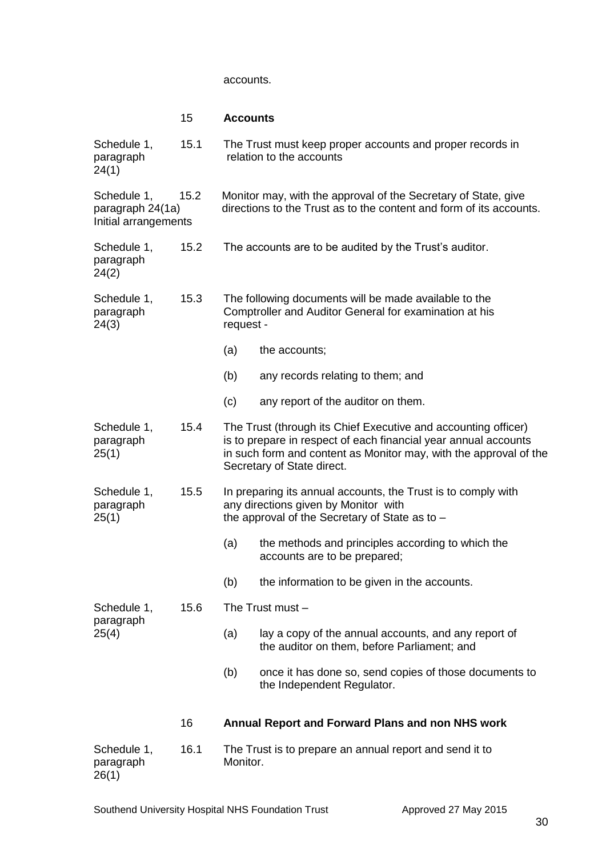#### accounts.

# 15 **Accounts**

| Schedule 1,<br>paragraph<br>24(1)                       | 15.1 |           | The Trust must keep proper accounts and proper records in<br>relation to the accounts                                                                                                                                                |
|---------------------------------------------------------|------|-----------|--------------------------------------------------------------------------------------------------------------------------------------------------------------------------------------------------------------------------------------|
| Schedule 1,<br>paragraph 24(1a)<br>Initial arrangements | 15.2 |           | Monitor may, with the approval of the Secretary of State, give<br>directions to the Trust as to the content and form of its accounts.                                                                                                |
| Schedule 1,<br>paragraph<br>24(2)                       | 15.2 |           | The accounts are to be audited by the Trust's auditor.                                                                                                                                                                               |
| Schedule 1,<br>paragraph<br>24(3)                       | 15.3 | request - | The following documents will be made available to the<br>Comptroller and Auditor General for examination at his                                                                                                                      |
|                                                         |      | (a)       | the accounts;                                                                                                                                                                                                                        |
|                                                         |      | (b)       | any records relating to them; and                                                                                                                                                                                                    |
|                                                         |      | (c)       | any report of the auditor on them.                                                                                                                                                                                                   |
| Schedule 1,<br>paragraph<br>25(1)                       | 15.4 |           | The Trust (through its Chief Executive and accounting officer)<br>is to prepare in respect of each financial year annual accounts<br>in such form and content as Monitor may, with the approval of the<br>Secretary of State direct. |
| Schedule 1,<br>paragraph<br>25(1)                       | 15.5 |           | In preparing its annual accounts, the Trust is to comply with<br>any directions given by Monitor with<br>the approval of the Secretary of State as to -                                                                              |
|                                                         |      | (a)       | the methods and principles according to which the<br>accounts are to be prepared;                                                                                                                                                    |
|                                                         |      | (b)       | the information to be given in the accounts.                                                                                                                                                                                         |
| Schedule 1,                                             | 15.6 |           | The Trust must -                                                                                                                                                                                                                     |
| paragraph<br>25(4)                                      |      | (a)       | lay a copy of the annual accounts, and any report of<br>the auditor on them, before Parliament; and                                                                                                                                  |
|                                                         |      | (b)       | once it has done so, send copies of those documents to<br>the Independent Regulator.                                                                                                                                                 |
|                                                         | 16   |           | Annual Report and Forward Plans and non NHS work                                                                                                                                                                                     |
| Schedule 1,<br>paragraph<br>26(1)                       | 16.1 | Monitor.  | The Trust is to prepare an annual report and send it to                                                                                                                                                                              |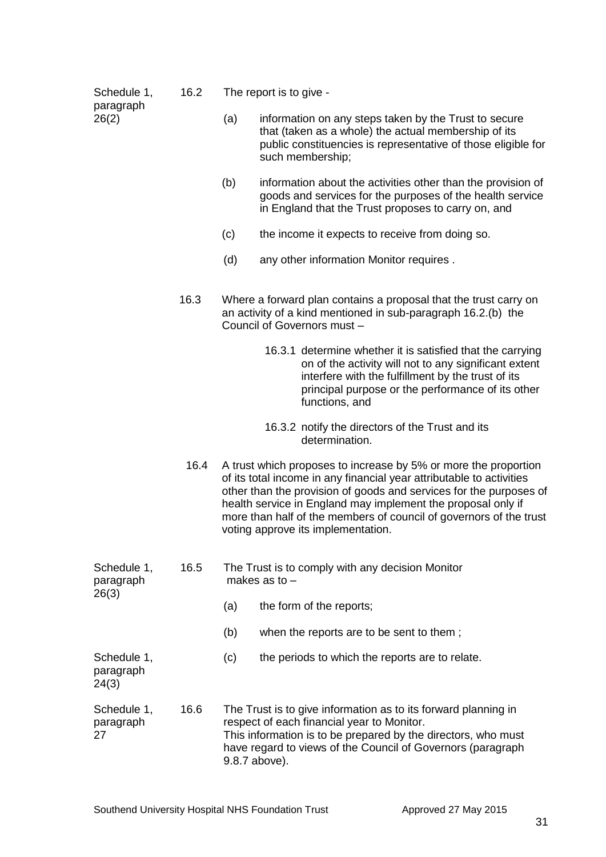| Schedule 1,<br>paragraph          | 16.2 | The report is to give - |                                                                                                                                                                                                                                                                                                                                                                                           |  |  |
|-----------------------------------|------|-------------------------|-------------------------------------------------------------------------------------------------------------------------------------------------------------------------------------------------------------------------------------------------------------------------------------------------------------------------------------------------------------------------------------------|--|--|
| 26(2)                             |      | (a)                     | information on any steps taken by the Trust to secure<br>that (taken as a whole) the actual membership of its<br>public constituencies is representative of those eligible for<br>such membership;                                                                                                                                                                                        |  |  |
|                                   |      | (b)                     | information about the activities other than the provision of<br>goods and services for the purposes of the health service<br>in England that the Trust proposes to carry on, and                                                                                                                                                                                                          |  |  |
|                                   |      | (c)                     | the income it expects to receive from doing so.                                                                                                                                                                                                                                                                                                                                           |  |  |
|                                   |      | (d)                     | any other information Monitor requires.                                                                                                                                                                                                                                                                                                                                                   |  |  |
|                                   | 16.3 |                         | Where a forward plan contains a proposal that the trust carry on<br>an activity of a kind mentioned in sub-paragraph 16.2.(b) the<br>Council of Governors must -                                                                                                                                                                                                                          |  |  |
|                                   |      |                         | 16.3.1 determine whether it is satisfied that the carrying<br>on of the activity will not to any significant extent<br>interfere with the fulfillment by the trust of its<br>principal purpose or the performance of its other<br>functions, and                                                                                                                                          |  |  |
|                                   |      |                         | 16.3.2 notify the directors of the Trust and its<br>determination.                                                                                                                                                                                                                                                                                                                        |  |  |
|                                   | 16.4 |                         | A trust which proposes to increase by 5% or more the proportion<br>of its total income in any financial year attributable to activities<br>other than the provision of goods and services for the purposes of<br>health service in England may implement the proposal only if<br>more than half of the members of council of governors of the trust<br>voting approve its implementation. |  |  |
| Schedule 1,<br>paragraph          | 16.5 |                         | The Trust is to comply with any decision Monitor<br>makes as to $-$                                                                                                                                                                                                                                                                                                                       |  |  |
| 26(3)                             |      | (a)                     | the form of the reports;                                                                                                                                                                                                                                                                                                                                                                  |  |  |
|                                   |      | (b)                     | when the reports are to be sent to them;                                                                                                                                                                                                                                                                                                                                                  |  |  |
| Schedule 1,<br>paragraph<br>24(3) |      | (c)                     | the periods to which the reports are to relate.                                                                                                                                                                                                                                                                                                                                           |  |  |
| Schedule 1,<br>paragraph<br>27    | 16.6 |                         | The Trust is to give information as to its forward planning in<br>respect of each financial year to Monitor.<br>This information is to be prepared by the directors, who must<br>have regard to views of the Council of Governors (paragraph<br>9.8.7 above).                                                                                                                             |  |  |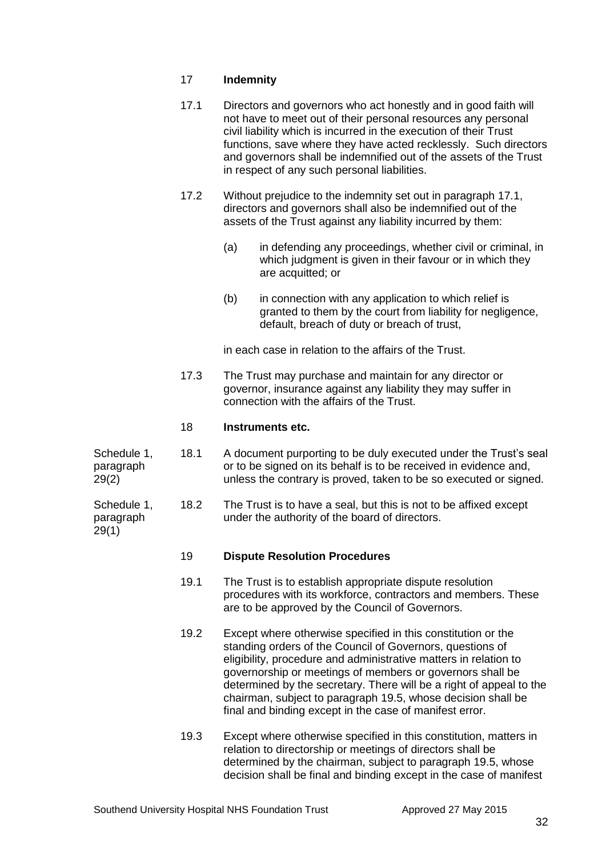# 17 **Indemnity**

| 17.1 | Directors and governors who act honestly and in good faith will<br>not have to meet out of their personal resources any personal |
|------|----------------------------------------------------------------------------------------------------------------------------------|
|      | civil liability which is incurred in the execution of their Trust                                                                |
|      | functions, save where they have acted recklessly. Such directors                                                                 |
|      | and governors shall be indemnified out of the assets of the Trust                                                                |
|      | in respect of any such personal liabilities.                                                                                     |

- 17.2 Without prejudice to the indemnity set out in paragraph 17.1, directors and governors shall also be indemnified out of the assets of the Trust against any liability incurred by them:
	- (a) in defending any proceedings, whether civil or criminal, in which judgment is given in their favour or in which they are acquitted; or
	- (b) in connection with any application to which relief is granted to them by the court from liability for negligence, default, breach of duty or breach of trust,

in each case in relation to the affairs of the Trust.

17.3 The Trust may purchase and maintain for any director or governor, insurance against any liability they may suffer in connection with the affairs of the Trust.

## 18 **Instruments etc.**

Schedule 1, 18.1 A document purporting to be duly executed under the Trust's seal paragraph or to be signed on its behalf is to be received in evidence and, 29(2) unless the contrary is proved, taken to be so executed or signed.

Schedule 1, 18.2 The Trust is to have a seal, but this is not to be affixed except paragraph under the authority of the board of directors.  $29(1)$ 

#### 19 **Dispute Resolution Procedures**

- 19.1 The Trust is to establish appropriate dispute resolution procedures with its workforce, contractors and members. These are to be approved by the Council of Governors.
- 19.2 Except where otherwise specified in this constitution or the standing orders of the Council of Governors, questions of eligibility, procedure and administrative matters in relation to governorship or meetings of members or governors shall be determined by the secretary. There will be a right of appeal to the chairman, subject to paragraph 19.5, whose decision shall be final and binding except in the case of manifest error.
- 19.3 Except where otherwise specified in this constitution, matters in relation to directorship or meetings of directors shall be determined by the chairman, subject to paragraph 19.5, whose decision shall be final and binding except in the case of manifest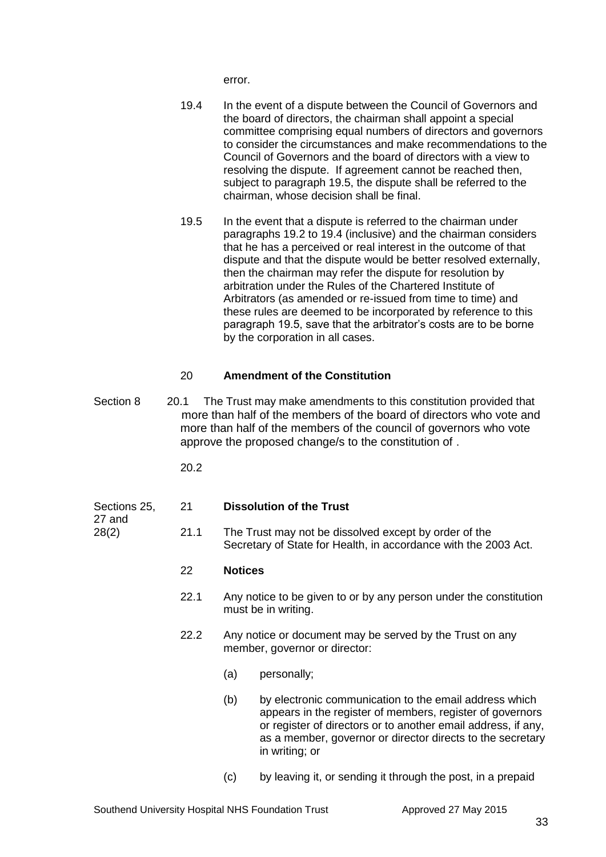error.

- 19.4 In the event of a dispute between the Council of Governors and the board of directors, the chairman shall appoint a special committee comprising equal numbers of directors and governors to consider the circumstances and make recommendations to the Council of Governors and the board of directors with a view to resolving the dispute. If agreement cannot be reached then, subject to paragraph 19.5, the dispute shall be referred to the chairman, whose decision shall be final.
- 19.5 In the event that a dispute is referred to the chairman under paragraphs 19.2 to 19.4 (inclusive) and the chairman considers that he has a perceived or real interest in the outcome of that dispute and that the dispute would be better resolved externally, then the chairman may refer the dispute for resolution by arbitration under the Rules of the Chartered Institute of Arbitrators (as amended or re-issued from time to time) and these rules are deemed to be incorporated by reference to this paragraph 19.5, save that the arbitrator's costs are to be borne by the corporation in all cases.

# 20 **Amendment of the Constitution**

Section 8 20.1 The Trust may make amendments to this constitution provided that more than half of the members of the board of directors who vote and more than half of the members of the council of governors who vote approve the proposed change/s to the constitution of .

20.2

# Sections 25, 21 **Dissolution of the Trust**

- 27 and
- 28(2) 21.1 The Trust may not be dissolved except by order of the Secretary of State for Health, in accordance with the 2003 Act.

# 22 **Notices**

- 22.1 Any notice to be given to or by any person under the constitution must be in writing.
- 22.2 Any notice or document may be served by the Trust on any member, governor or director:
	- (a) personally;
	- (b) by electronic communication to the email address which appears in the register of members, register of governors or register of directors or to another email address, if any, as a member, governor or director directs to the secretary in writing; or
	- (c) by leaving it, or sending it through the post, in a prepaid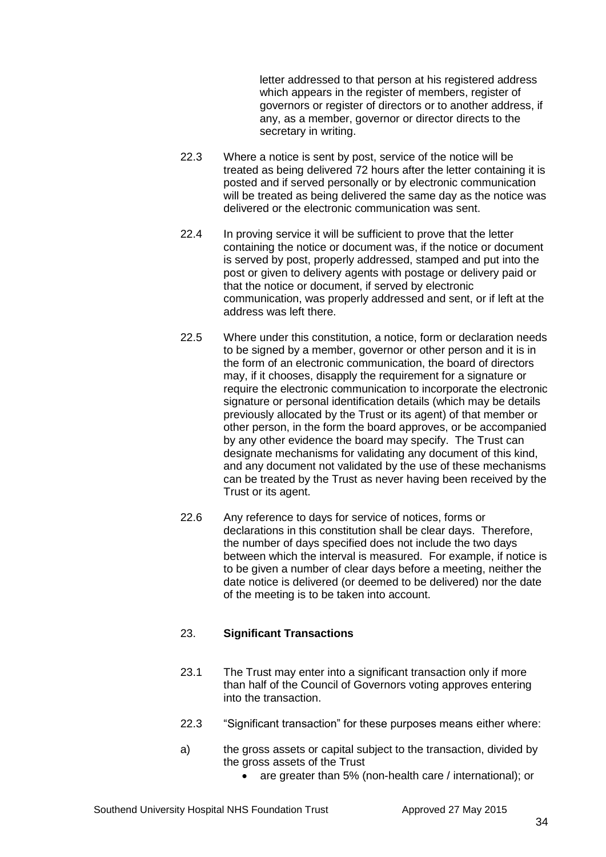letter addressed to that person at his registered address which appears in the register of members, register of governors or register of directors or to another address, if any, as a member, governor or director directs to the secretary in writing.

- 22.3 Where a notice is sent by post, service of the notice will be treated as being delivered 72 hours after the letter containing it is posted and if served personally or by electronic communication will be treated as being delivered the same day as the notice was delivered or the electronic communication was sent.
- 22.4 In proving service it will be sufficient to prove that the letter containing the notice or document was, if the notice or document is served by post, properly addressed, stamped and put into the post or given to delivery agents with postage or delivery paid or that the notice or document, if served by electronic communication, was properly addressed and sent, or if left at the address was left there.
- 22.5 Where under this constitution, a notice, form or declaration needs to be signed by a member, governor or other person and it is in the form of an electronic communication, the board of directors may, if it chooses, disapply the requirement for a signature or require the electronic communication to incorporate the electronic signature or personal identification details (which may be details previously allocated by the Trust or its agent) of that member or other person, in the form the board approves, or be accompanied by any other evidence the board may specify. The Trust can designate mechanisms for validating any document of this kind, and any document not validated by the use of these mechanisms can be treated by the Trust as never having been received by the Trust or its agent.
- 22.6 Any reference to days for service of notices, forms or declarations in this constitution shall be clear days. Therefore, the number of days specified does not include the two days between which the interval is measured. For example, if notice is to be given a number of clear days before a meeting, neither the date notice is delivered (or deemed to be delivered) nor the date of the meeting is to be taken into account.

# 23. **Significant Transactions**

- 23.1 The Trust may enter into a significant transaction only if more than half of the Council of Governors voting approves entering into the transaction.
- 22.3 "Significant transaction" for these purposes means either where:
- a) the gross assets or capital subject to the transaction, divided by the gross assets of the Trust
	- are greater than 5% (non-health care / international); or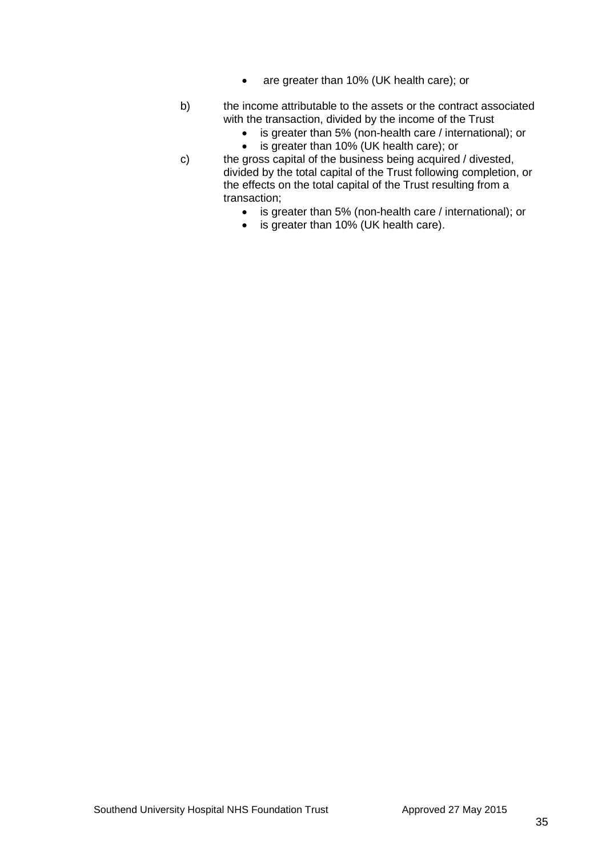- are greater than 10% (UK health care); or
- b) the income attributable to the assets or the contract associated with the transaction, divided by the income of the Trust
	- is greater than 5% (non-health care / international); or
	- is greater than 10% (UK health care); or
- c) the gross capital of the business being acquired / divested, divided by the total capital of the Trust following completion, or the effects on the total capital of the Trust resulting from a transaction;
	- is greater than 5% (non-health care / international); or
	- is greater than 10% (UK health care).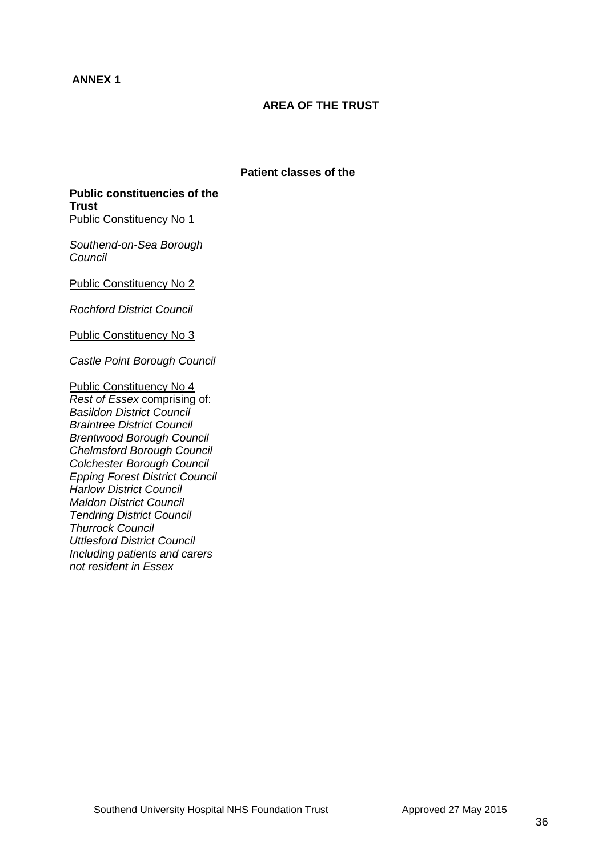# **ANNEX 1**

# **AREA OF THE TRUST**

## **Patient classes of the**

**Public constituencies of the Trust** Public Constituency No 1

*Southend-on-Sea Borough Council* 

Public Constituency No 2

*Rochford District Council* 

Public Constituency No 3

*Castle Point Borough Council* 

Public Constituency No 4 *Rest of Essex* comprising of: *[Basildon District Council](http://www.direct.gov.uk/ExternalLink?EXTERNAL_LINK=http%3A//www.basildon.gov.uk)  [Braintree District Council](http://www.direct.gov.uk/ExternalLink?EXTERNAL_LINK=http%3A//www.braintree.gov.uk/) [Brentwood Borough Council](http://www.direct.gov.uk/ExternalLink?EXTERNAL_LINK=http%3A//www.brentwood-council.gov.uk)  [Chelmsford Borough Council](http://www.direct.gov.uk/ExternalLink?EXTERNAL_LINK=http%3A//www.chelmsfordbc.gov.uk/)  [Colchester Borough Council](http://www.direct.gov.uk/ExternalLink?EXTERNAL_LINK=http%3A//www.colchester.gov.uk/)  [Epping Forest District Council](http://www.direct.gov.uk/ExternalLink?EXTERNAL_LINK=http%3A//www.eppingforestdc.gov.uk/)  [Harlow District Council](http://www.direct.gov.uk/ExternalLink?EXTERNAL_LINK=http%3A//www.harlow.gov.uk/)  [Maldon District Council](http://www.direct.gov.uk/ExternalLink?EXTERNAL_LINK=http%3A//www.maldon.gov.uk/)  [Tendring District Council](http://www.direct.gov.uk/ExternalLink?EXTERNAL_LINK=http%3A//www.tendringdc.gov.uk/)  [Thurrock Council](http://www.direct.gov.uk/ExternalLink?EXTERNAL_LINK=http%3A//www.thurrock.gov.uk/)  [Uttlesford District Council](http://www.direct.gov.uk/ExternalLink?EXTERNAL_LINK=http%3A//www.uttlesford.gov.uk)  Including patients and carers not resident in Essex*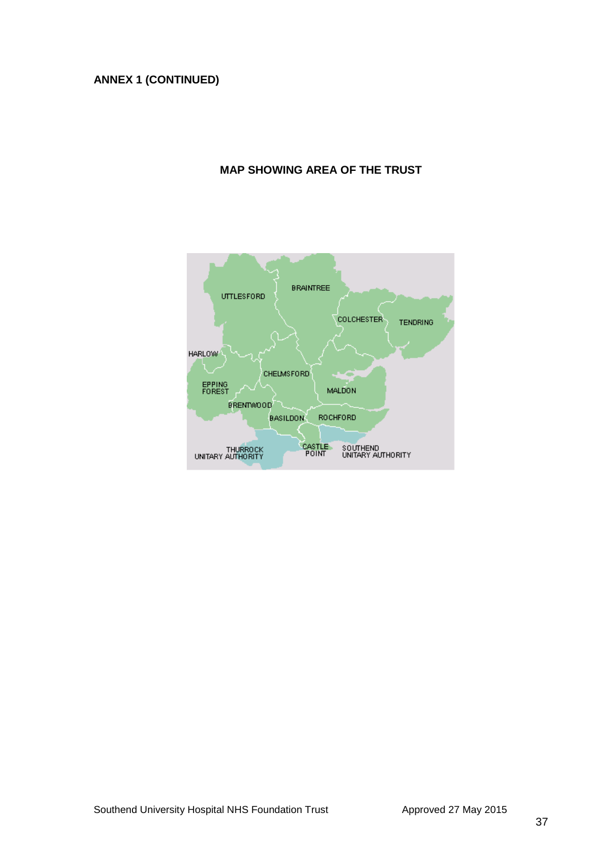# **ANNEX 1 (CONTINUED)**

# **MAP SHOWING AREA OF THE TRUST**

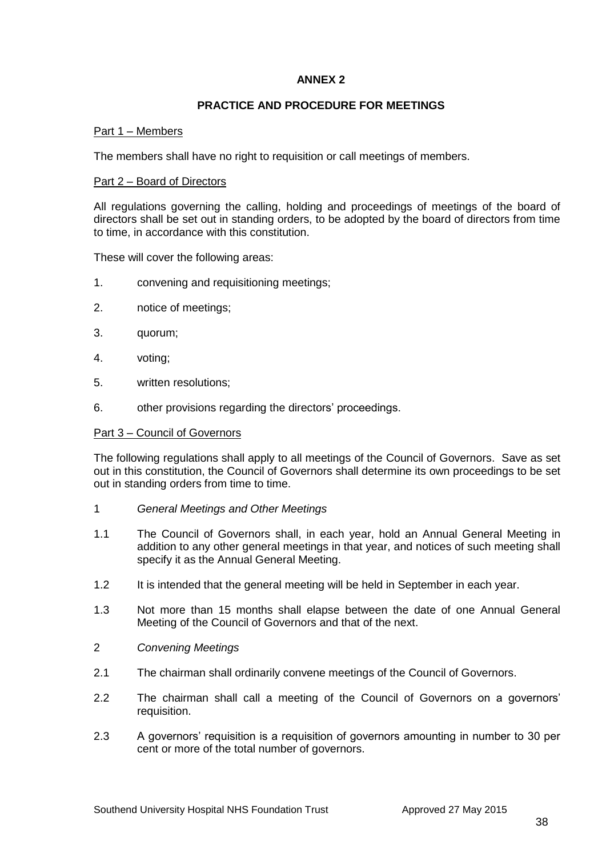# **ANNEX 2**

# **PRACTICE AND PROCEDURE FOR MEETINGS**

## Part 1 – Members

The members shall have no right to requisition or call meetings of members.

#### Part 2 – Board of Directors

All regulations governing the calling, holding and proceedings of meetings of the board of directors shall be set out in standing orders, to be adopted by the board of directors from time to time, in accordance with this constitution.

These will cover the following areas:

- 1. convening and requisitioning meetings;
- 2. notice of meetings;
- 3. quorum;
- 4. voting;
- 5. written resolutions;
- 6. other provisions regarding the directors' proceedings.

#### Part 3 – Council of Governors

The following regulations shall apply to all meetings of the Council of Governors. Save as set out in this constitution, the Council of Governors shall determine its own proceedings to be set out in standing orders from time to time.

- 1 *General Meetings and Other Meetings*
- 1.1 The Council of Governors shall, in each year, hold an Annual General Meeting in addition to any other general meetings in that year, and notices of such meeting shall specify it as the Annual General Meeting.
- 1.2 It is intended that the general meeting will be held in September in each year.
- 1.3 Not more than 15 months shall elapse between the date of one Annual General Meeting of the Council of Governors and that of the next.
- 2 *Convening Meetings*
- 2.1 The chairman shall ordinarily convene meetings of the Council of Governors.
- 2.2 The chairman shall call a meeting of the Council of Governors on a governors' requisition.
- 2.3 A governors' requisition is a requisition of governors amounting in number to 30 per cent or more of the total number of governors.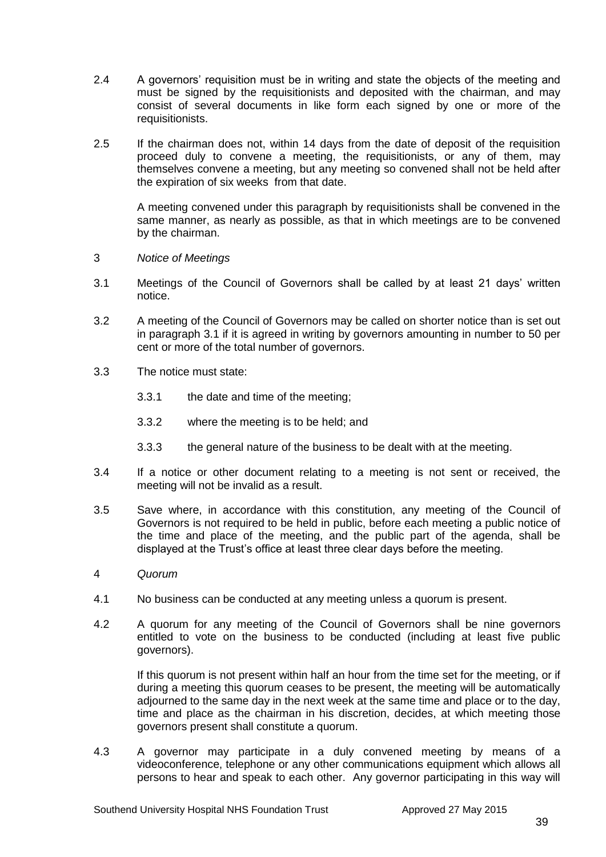- 2.4 A governors' requisition must be in writing and state the objects of the meeting and must be signed by the requisitionists and deposited with the chairman, and may consist of several documents in like form each signed by one or more of the requisitionists.
- 2.5 If the chairman does not, within 14 days from the date of deposit of the requisition proceed duly to convene a meeting, the requisitionists, or any of them, may themselves convene a meeting, but any meeting so convened shall not be held after the expiration of six weeks from that date.

A meeting convened under this paragraph by requisitionists shall be convened in the same manner, as nearly as possible, as that in which meetings are to be convened by the chairman.

- 3 *Notice of Meetings*
- 3.1 Meetings of the Council of Governors shall be called by at least 21 days' written notice.
- 3.2 A meeting of the Council of Governors may be called on shorter notice than is set out in paragraph 3.1 if it is agreed in writing by governors amounting in number to 50 per cent or more of the total number of governors.
- 3.3 The notice must state:
	- 3.3.1 the date and time of the meeting;
	- 3.3.2 where the meeting is to be held; and
	- 3.3.3 the general nature of the business to be dealt with at the meeting.
- 3.4 If a notice or other document relating to a meeting is not sent or received, the meeting will not be invalid as a result.
- 3.5 Save where, in accordance with this constitution, any meeting of the Council of Governors is not required to be held in public, before each meeting a public notice of the time and place of the meeting, and the public part of the agenda, shall be displayed at the Trust's office at least three clear days before the meeting.
- 4 *Quorum*
- 4.1 No business can be conducted at any meeting unless a quorum is present.
- 4.2 A quorum for any meeting of the Council of Governors shall be nine governors entitled to vote on the business to be conducted (including at least five public governors).

If this quorum is not present within half an hour from the time set for the meeting, or if during a meeting this quorum ceases to be present, the meeting will be automatically adjourned to the same day in the next week at the same time and place or to the day, time and place as the chairman in his discretion, decides, at which meeting those governors present shall constitute a quorum.

4.3 A governor may participate in a duly convened meeting by means of a videoconference, telephone or any other communications equipment which allows all persons to hear and speak to each other. Any governor participating in this way will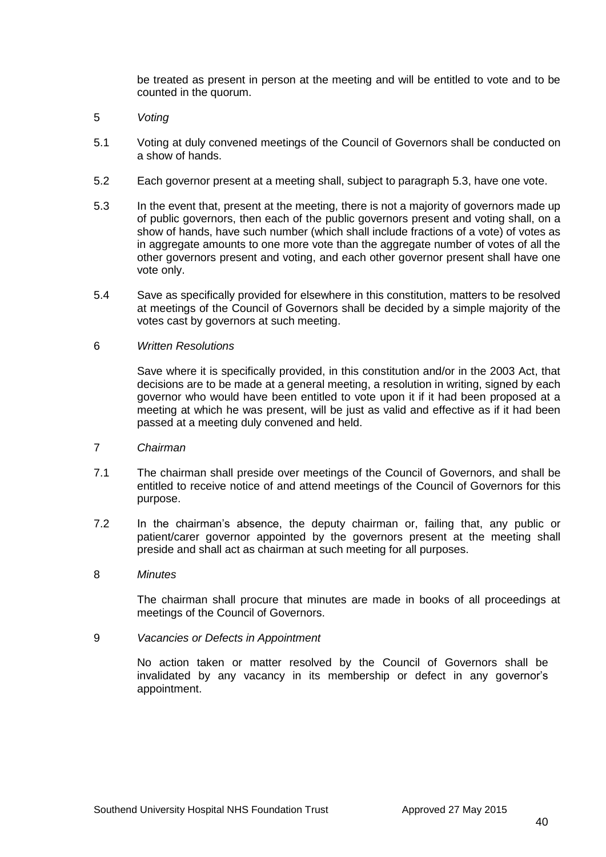be treated as present in person at the meeting and will be entitled to vote and to be counted in the quorum.

- 5 *Voting*
- 5.1 Voting at duly convened meetings of the Council of Governors shall be conducted on a show of hands.
- 5.2 Each governor present at a meeting shall, subject to paragraph 5.3, have one vote.
- 5.3 In the event that, present at the meeting, there is not a majority of governors made up of public governors, then each of the public governors present and voting shall, on a show of hands, have such number (which shall include fractions of a vote) of votes as in aggregate amounts to one more vote than the aggregate number of votes of all the other governors present and voting, and each other governor present shall have one vote only.
- 5.4 Save as specifically provided for elsewhere in this constitution, matters to be resolved at meetings of the Council of Governors shall be decided by a simple majority of the votes cast by governors at such meeting.

#### 6 *Written Resolutions*

Save where it is specifically provided, in this constitution and/or in the 2003 Act, that decisions are to be made at a general meeting, a resolution in writing, signed by each governor who would have been entitled to vote upon it if it had been proposed at a meeting at which he was present, will be just as valid and effective as if it had been passed at a meeting duly convened and held.

#### 7 *Chairman*

- 7.1 The chairman shall preside over meetings of the Council of Governors, and shall be entitled to receive notice of and attend meetings of the Council of Governors for this purpose.
- 7.2 In the chairman's absence, the deputy chairman or, failing that, any public or patient/carer governor appointed by the governors present at the meeting shall preside and shall act as chairman at such meeting for all purposes.

#### 8 *Minutes*

The chairman shall procure that minutes are made in books of all proceedings at meetings of the Council of Governors.

#### 9 *Vacancies or Defects in Appointment*

No action taken or matter resolved by the Council of Governors shall be invalidated by any vacancy in its membership or defect in any governor's appointment.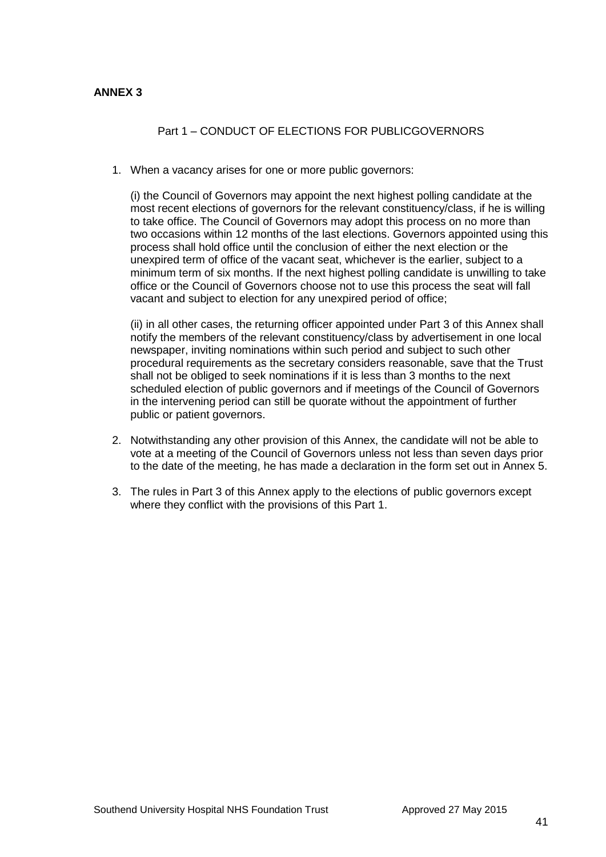## **ANNEX 3**

# Part 1 – CONDUCT OF ELECTIONS FOR PUBLICGOVERNORS

1. When a vacancy arises for one or more public governors:

(i) the Council of Governors may appoint the next highest polling candidate at the most recent elections of governors for the relevant constituency/class, if he is willing to take office. The Council of Governors may adopt this process on no more than two occasions within 12 months of the last elections. Governors appointed using this process shall hold office until the conclusion of either the next election or the unexpired term of office of the vacant seat, whichever is the earlier, subject to a minimum term of six months. If the next highest polling candidate is unwilling to take office or the Council of Governors choose not to use this process the seat will fall vacant and subject to election for any unexpired period of office;

(ii) in all other cases, the returning officer appointed under Part 3 of this Annex shall notify the members of the relevant constituency/class by advertisement in one local newspaper, inviting nominations within such period and subject to such other procedural requirements as the secretary considers reasonable, save that the Trust shall not be obliged to seek nominations if it is less than 3 months to the next scheduled election of public governors and if meetings of the Council of Governors in the intervening period can still be quorate without the appointment of further public or patient governors.

- 2. Notwithstanding any other provision of this Annex, the candidate will not be able to vote at a meeting of the Council of Governors unless not less than seven days prior to the date of the meeting, he has made a declaration in the form set out in Annex 5.
- 3. The rules in Part 3 of this Annex apply to the elections of public governors except where they conflict with the provisions of this Part 1.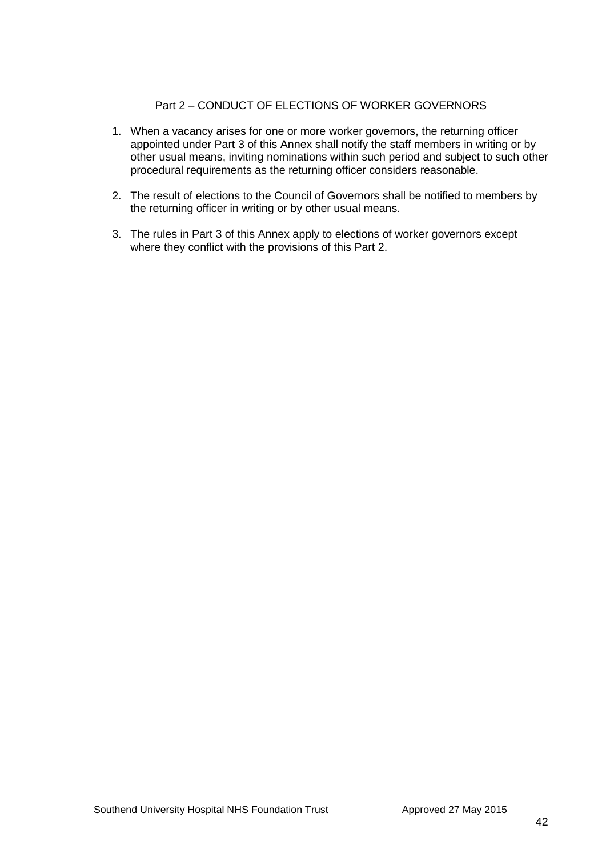# Part 2 – CONDUCT OF ELECTIONS OF WORKER GOVERNORS

- 1. When a vacancy arises for one or more worker governors, the returning officer appointed under Part 3 of this Annex shall notify the staff members in writing or by other usual means, inviting nominations within such period and subject to such other procedural requirements as the returning officer considers reasonable.
- 2. The result of elections to the Council of Governors shall be notified to members by the returning officer in writing or by other usual means.
- 3. The rules in Part 3 of this Annex apply to elections of worker governors except where they conflict with the provisions of this Part 2.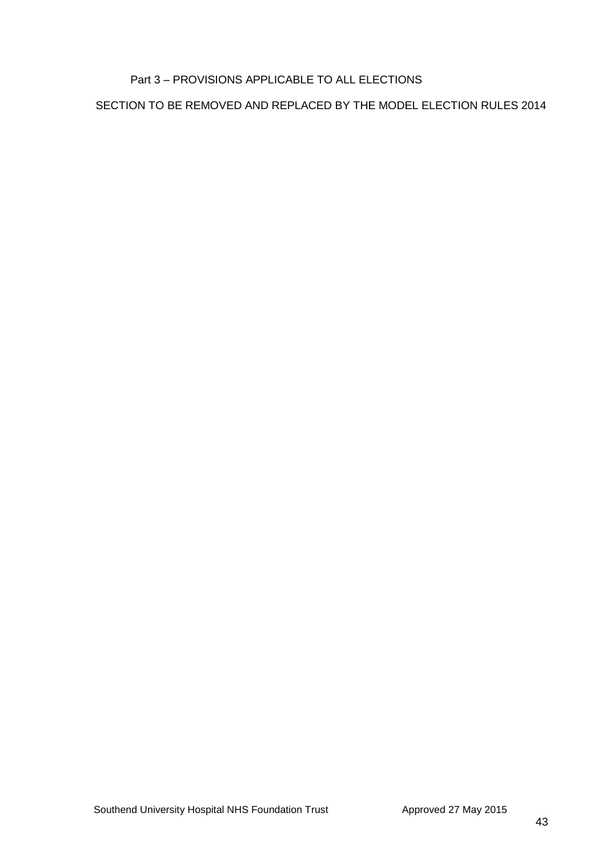# Part 3 – PROVISIONS APPLICABLE TO ALL ELECTIONS

SECTION TO BE REMOVED AND REPLACED BY THE MODEL ELECTION RULES 2014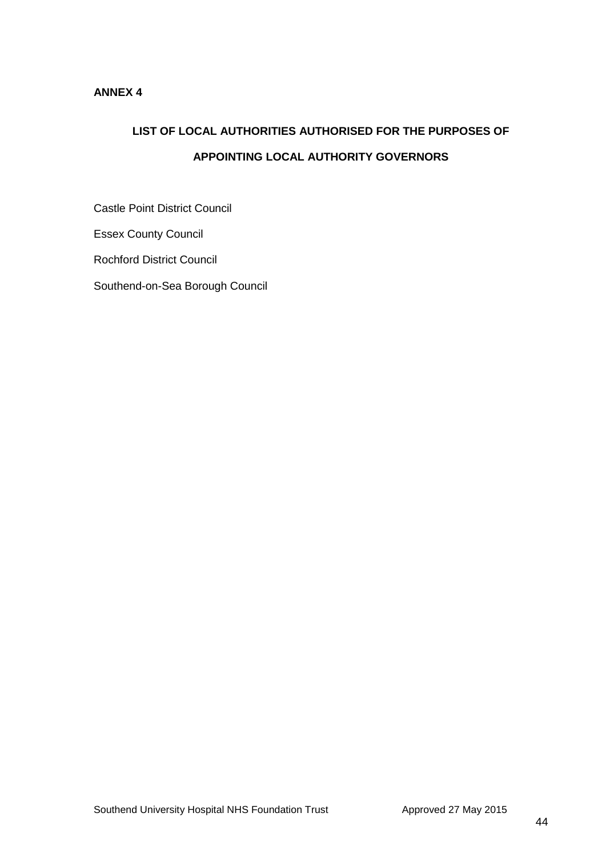# **ANNEX 4**

# **LIST OF LOCAL AUTHORITIES AUTHORISED FOR THE PURPOSES OF APPOINTING LOCAL AUTHORITY GOVERNORS**

Castle Point District Council

Essex County Council

Rochford District Council

Southend-on-Sea Borough Council